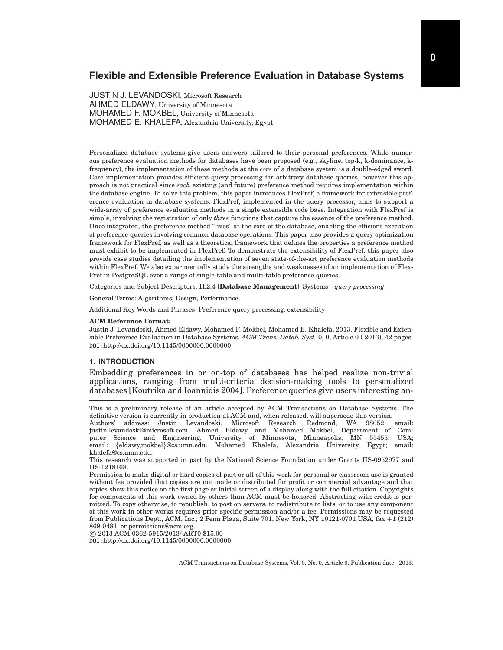JUSTIN J. LEVANDOSKI, Microsoft Research AHMED ELDAWY, University of Minnesota MOHAMED F. MOKBEL, University of Minnesota MOHAMED E. KHALEFA, Alexandria University, Egypt

Personalized database systems give users answers tailored to their personal preferences. While numerous preference evaluation methods for databases have been proposed (e.g., skyline, top-k, k-dominance, kfrequency), the implementation of these methods at the *core* of a database system is a double-edged sword. Core implementation provides efficient query processing for arbitrary database queries, however this approach is not practical since *each* existing (and future) preference method requires implementation within the database engine. To solve this problem, this paper introduces FlexPref, a framework for extensible preference evaluation in database systems. FlexPref, implemented in the query processor, aims to support a wide-array of preference evaluation methods in a single extensible code base. Integration with FlexPref is simple, involving the registration of only *three* functions that capture the essence of the preference method. Once integrated, the preference method "lives" at the core of the database, enabling the efficient execution of preference queries involving common database operations. This paper also provides a query optimization framework for FlexPref, as well as a theoretical framework that defines the properties a preference method must exhibit to be implemented in FlexPref. To demonstrate the extensibility of FlexPref, this paper also provide case studies detailing the implementation of seven state-of-the-art preference evaluation methods within FlexPref. We also experimentally study the strengths and weaknesses of an implementation of Flex-Pref in PostgreSQL over a range of single-table and multi-table preference queries.

Categories and Subject Descriptors: H.2.4 [**Database Management**]: Systems—*query processing*

General Terms: Algorithms, Design, Performance

Additional Key Words and Phrases: Preference query processing, extensibility

#### **ACM Reference Format:**

Justin J. Levandoski, Ahmed Eldawy, Mohamed F. Mokbel, Mohamed E. Khalefa, 2013. Flexible and Extensible Preference Evaluation in Database Systems. *ACM Trans. Datab. Syst.* 0, 0, Article 0 ( 2013), 42 pages. DOI:http://dx.doi.org/10.1145/0000000.0000000

#### **1. INTRODUCTION**

Embedding preferences in or on-top of databases has helped realize non-trivial applications, ranging from multi-criteria decision-making tools to personalized databases [Koutrika and Ioannidis 2004]. Preference queries give users interesting an-

Authors' address: Justin Levandoski, Microsoft Research, Redmond, WA 98052; email: justin.levandoski@microsoft.com. Ahmed Eldawy and Mohamed Mokbel, Department of Computer Science and Engineering, University of Minnesota, Minneapolis, MN 55455, USA; email: {eldawy,mokbel}@cs.umn.edu. Mohamed Khalefa, Alexandria University, Egypt; email: khalefa@cs.umn.edu.

This research was supported in part by the National Science Foundation under Grants IIS-0952977 and IIS-1218168.

Permission to make digital or hard copies of part or all of this work for personal or classroom use is granted without fee provided that copies are not made or distributed for profit or commercial advantage and that copies show this notice on the first page or initial screen of a display along with the full citation. Copyrights for components of this work owned by others than ACM must be honored. Abstracting with credit is permitted. To copy otherwise, to republish, to post on servers, to redistribute to lists, or to use any component of this work in other works requires prior specific permission and/or a fee. Permissions may be requested from Publications Dept., ACM, Inc., 2 Penn Plaza, Suite 701, New York, NY 10121-0701 USA, fax +1 (212) 869-0481, or permissions@acm.org.

 c 2013 ACM 0362-5915/2013/-ART0 \$15.00 DOI:http://dx.doi.org/10.1145/0000000.0000000

This is a preliminary release of an article accepted by ACM Transactions on Database Systems. The definitive version is currently in production at ACM and, when released, will supersede this version.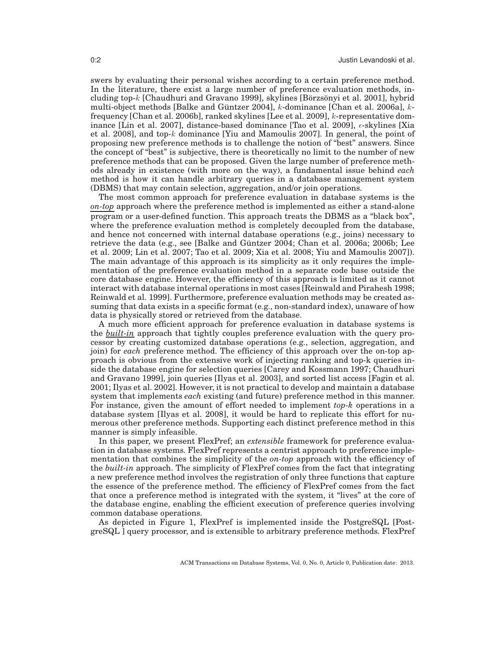swers by evaluating their personal wishes according to a certain preference method. In the literature, there exist a large number of preference evaluation methods, including top- $k$  [Chaudhuri and Gravano 1999], skylines [Börzsönyi et al. 2001], hybrid multi-object methods [Balke and Güntzer 2004],  $k$ -dominance [Chan et al. 2006a],  $k$ frequency [Chan et al. 2006b], ranked skylines [Lee et al. 2009], k-representative dominance [Lin et al. 2007], distance-based dominance [Tao et al. 2009],  $\epsilon$ -skylines [Xia et al. 2008], and top-k dominance [Yiu and Mamoulis 2007]. In general, the point of proposing new preference methods is to challenge the notion of "best" answers. Since the concept of "best" is subjective, there is theoretically no limit to the number of new preference methods that can be proposed. Given the large number of preference methods already in existence (with more on the way), a fundamental issue behind *each* method is how it can handle arbitrary queries in a database management system (DBMS) that may contain selection, aggregation, and/or join operations.

The most common approach for preference evaluation in database systems is the *on-top* approach where the preference method is implemented as either a stand-alone program or a user-defined function. This approach treats the DBMS as a "black box", where the preference evaluation method is completely decoupled from the database, and hence not concerned with internal database operations (e.g., joins) necessary to retrieve the data (e.g., see [Balke and Güntzer 2004; Chan et al. 2006a; 2006b; Lee et al. 2009; Lin et al. 2007; Tao et al. 2009; Xia et al. 2008; Yiu and Mamoulis 2007]). The main advantage of this approach is its simplicity as it only requires the implementation of the preference evaluation method in a separate code base outside the core database engine. However, the efficiency of this approach is limited as it cannot interact with database internal operations in most cases [Reinwald and Pirahesh 1998; Reinwald et al. 1999]. Furthermore, preference evaluation methods may be created assuming that data exists in a specific format (e.g., non-standard index), unaware of how data is physically stored or retrieved from the database.

A much more efficient approach for preference evaluation in database systems is the *built-in* approach that tightly couples preference evaluation with the query processor by creating customized database operations (e.g., selection, aggregation, and join) for *each* preference method. The efficiency of this approach over the on-top approach is obvious from the extensive work of injecting ranking and top-k queries inside the database engine for selection queries [Carey and Kossmann 1997; Chaudhuri and Gravano 1999], join queries [Ilyas et al. 2003], and sorted list access [Fagin et al. 2001; Ilyas et al. 2002]. However, it is not practical to develop and maintain a database system that implements *each* existing (and future) preference method in this manner. For instance, given the amount of effort needed to implement *top-k* operations in a database system [Ilyas et al. 2008], it would be hard to replicate this effort for numerous other preference methods. Supporting each distinct preference method in this manner is simply infeasible.

In this paper, we present FlexPref; an *extensible* framework for preference evaluation in database systems. FlexPref represents a centrist approach to preference implementation that combines the simplicity of the *on-top* approach with the efficiency of the *built-in* approach. The simplicity of FlexPref comes from the fact that integrating a new preference method involves the registration of only three functions that capture the essence of the preference method. The efficiency of FlexPref comes from the fact that once a preference method is integrated with the system, it "lives" at the core of the database engine, enabling the efficient execution of preference queries involving common database operations.

As depicted in Figure 1, FlexPref is implemented inside the PostgreSQL [PostgreSQL ] query processor, and is extensible to arbitrary preference methods. FlexPref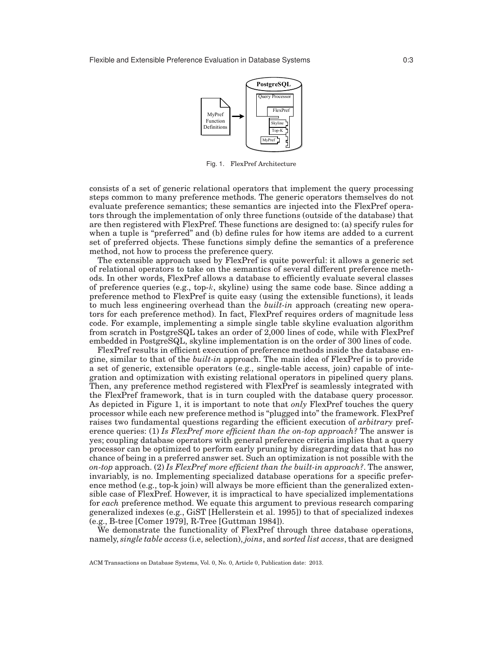

Fig. 1. FlexPref Architecture

consists of a set of generic relational operators that implement the query processing steps common to many preference methods. The generic operators themselves do not evaluate preference semantics; these semantics are injected into the FlexPref operators through the implementation of only three functions (outside of the database) that are then registered with FlexPref. These functions are designed to: (a) specify rules for when a tuple is "preferred" and (b) define rules for how items are added to a current set of preferred objects. These functions simply define the semantics of a preference method, not how to process the preference query.

The extensible approach used by FlexPref is quite powerful: it allows a generic set of relational operators to take on the semantics of several different preference methods. In other words, FlexPref allows a database to efficiently evaluate several classes of preference queries (e.g., top- $k$ , skyline) using the same code base. Since adding a preference method to FlexPref is quite easy (using the extensible functions), it leads to much less engineering overhead than the *built-in* approach (creating new operators for each preference method). In fact, FlexPref requires orders of magnitude less code. For example, implementing a simple single table skyline evaluation algorithm from scratch in PostgreSQL takes an order of 2,000 lines of code, while with FlexPref embedded in PostgreSQL, skyline implementation is on the order of 300 lines of code.

FlexPref results in efficient execution of preference methods inside the database engine, similar to that of the *built-in* approach. The main idea of FlexPref is to provide a set of generic, extensible operators (e.g., single-table access, join) capable of integration and optimization with existing relational operators in pipelined query plans. Then, any preference method registered with FlexPref is seamlessly integrated with the FlexPref framework, that is in turn coupled with the database query processor. As depicted in Figure 1, it is important to note that *only* FlexPref touches the query processor while each new preference method is "plugged into" the framework. FlexPref raises two fundamental questions regarding the efficient execution of *arbitrary* preference queries: (1) *Is FlexPref more efficient than the on-top approach?* The answer is yes; coupling database operators with general preference criteria implies that a query processor can be optimized to perform early pruning by disregarding data that has no chance of being in a preferred answer set. Such an optimization is not possible with the *on-top* approach. (2) *Is FlexPref more efficient than the built-in approach?*. The answer, invariably, is no. Implementing specialized database operations for a specific preference method (e.g., top-k join) will always be more efficient than the generalized extensible case of FlexPref. However, it is impractical to have specialized implementations for *each* preference method. We equate this argument to previous research comparing generalized indexes (e.g., GiST [Hellerstein et al. 1995]) to that of specialized indexes (e.g., B-tree [Comer 1979], R-Tree [Guttman 1984]).

We demonstrate the functionality of FlexPref through three database operations, namely, *single table access* (i.e, selection), *joins*, and *sorted list access*, that are designed

ACM Transactions on Database Systems, Vol. 0, No. 0, Article 0, Publication date: 2013.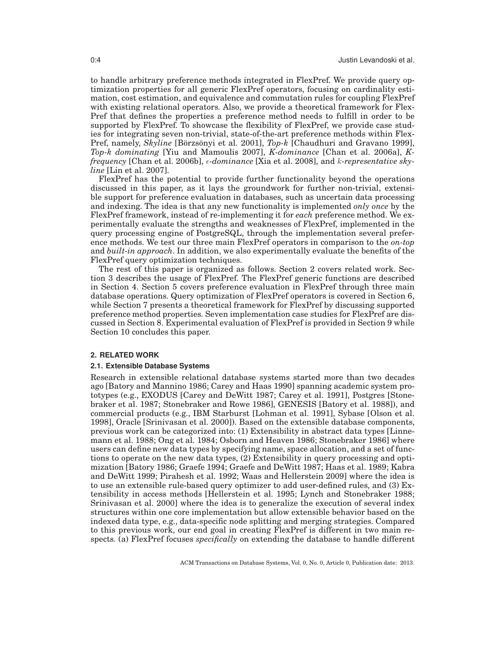to handle arbitrary preference methods integrated in FlexPref. We provide query optimization properties for all generic FlexPref operators, focusing on cardinality estimation, cost estimation, and equivalence and commutation rules for coupling FlexPref with existing relational operators. Also, we provide a theoretical framework for Flex-Pref that defines the properties a preference method needs to fulfill in order to be supported by FlexPref. To showcase the flexibility of FlexPref, we provide case studies for integrating seven non-trivial, state-of-the-art preference methods within Flex-Pref, namely, *Skyline* [Börzsönyi et al. 2001], *Top-k* [Chaudhuri and Gravano 1999], *Top-k dominating* [Yiu and Mamoulis 2007], *K-dominance* [Chan et al. 2006a], *Kfrequency* [Chan et al. 2006b], ǫ*-dominance* [Xia et al. 2008], and k*-representative skyline* [Lin et al. 2007].

FlexPref has the potential to provide further functionality beyond the operations discussed in this paper, as it lays the groundwork for further non-trivial, extensible support for preference evaluation in databases, such as uncertain data processing and indexing. The idea is that any new functionality is implemented *only once* by the FlexPref framework, instead of re-implementing it for *each* preference method. We experimentally evaluate the strengths and weaknesses of FlexPref, implemented in the query processing engine of PostgreSQL, through the implementation several preference methods. We test our three main FlexPref operators in comparison to the *on-top* and *built-in approach*. In addition, we also experimentally evaluate the benefits of the FlexPref query optimization techniques.

The rest of this paper is organized as follows. Section 2 covers related work. Section 3 describes the usage of FlexPref. The FlexPref generic functions are described in Section 4. Section 5 covers preference evaluation in FlexPref through three main database operations. Query optimization of FlexPref operators is covered in Section 6, while Section 7 presents a theoretical framework for FlexPref by discussing supported preference method properties. Seven implementation case studies for FlexPref are discussed in Section 8. Experimental evaluation of FlexPref is provided in Section 9 while Section 10 concludes this paper.

### **2. RELATED WORK**

## **2.1. Extensible Database Systems**

Research in extensible relational database systems started more than two decades ago [Batory and Mannino 1986; Carey and Haas 1990] spanning academic system prototypes (e.g., EXODUS [Carey and DeWitt 1987; Carey et al. 1991], Postgres [Stonebraker et al. 1987; Stonebraker and Rowe 1986], GENESIS [Batory et al. 1988]), and commercial products (e.g., IBM Starburst [Lohman et al. 1991], Sybase [Olson et al. 1998], Oracle [Srinivasan et al. 2000]). Based on the extensible database components, previous work can be categorized into: (1) Extensibility in abstract data types [Linnemann et al. 1988; Ong et al. 1984; Osborn and Heaven 1986; Stonebraker 1986] where users can define new data types by specifying name, space allocation, and a set of functions to operate on the new data types, (2) Extensibility in query processing and optimization [Batory 1986; Graefe 1994; Graefe and DeWitt 1987; Haas et al. 1989; Kabra and DeWitt 1999; Pirahesh et al. 1992; Waas and Hellerstein 2009] where the idea is to use an extensible rule-based query optimizer to add user-defined rules, and (3) Extensibility in access methods [Hellerstein et al. 1995; Lynch and Stonebraker 1988; Srinivasan et al. 2000] where the idea is to generalize the execution of several index structures within one core implementation but allow extensible behavior based on the indexed data type, e.g., data-specific node splitting and merging strategies. Compared to this previous work, our end goal in creating FlexPref is different in two main respects. (a) FlexPref focuses *specifically* on extending the database to handle different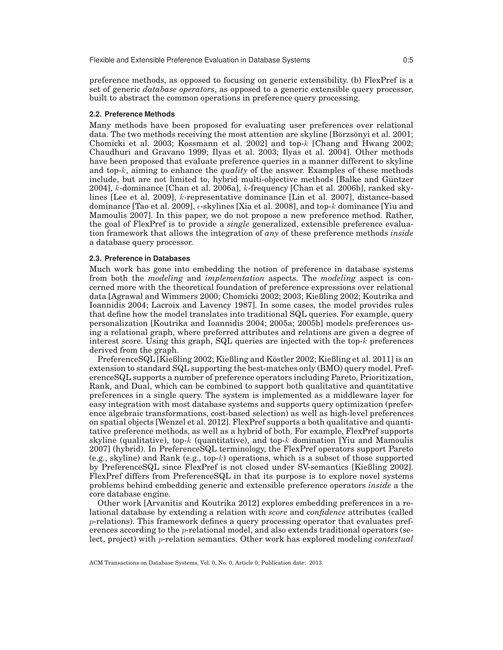preference methods, as opposed to focusing on generic extensibility. (b) FlexPref is a set of generic *database operators*, as opposed to a generic extensible query processor, built to abstract the common operations in preference query processing.

#### **2.2. Preference Methods**

Many methods have been proposed for evaluating user preferences over relational data. The two methods receiving the most attention are skyline  $\beta$ orzs onyi et al. 2001; Chomicki et al. 2003; Kossmann et al. 2002] and top-k [Chang and Hwang 2002; Chaudhuri and Gravano 1999; Ilyas et al. 2003; Ilyas et al. 2004]. Other methods have been proposed that evaluate preference queries in a manner different to skyline and top-k, aiming to enhance the *quality* of the answer. Examples of these methods include, but are not limited to, hybrid multi-objective methods [Balke and Güntzer 2004], k-dominance [Chan et al. 2006a], k-frequency [Chan et al. 2006b], ranked skylines [Lee et al. 2009], k-representative dominance [Lin et al. 2007], distance-based dominance [Tao et al. 2009],  $\epsilon$ -skylines [Xia et al. 2008], and top-k dominance [Yiu and Mamoulis 2007]. In this paper, we do not propose a new preference method. Rather, the goal of FlexPref is to provide a *single* generalized, extensible preference evaluation framework that allows the integration of *any* of these preference methods *inside* a database query processor.

### **2.3. Preference in Databases**

Much work has gone into embedding the notion of preference in database systems from both the *modeling* and *implementation* aspects. The *modeling* aspect is concerned more with the theoretical foundation of preference expressions over relational data [Agrawal and Wimmers 2000; Chomicki 2002; 2003; Kießling 2002; Koutrika and Ioannidis 2004; Lacroix and Lavency 1987]. In some cases, the model provides rules that define how the model translates into traditional SQL queries. For example, query personalization [Koutrika and Ioannidis 2004; 2005a; 2005b] models preferences using a relational graph, where preferred attributes and relations are given a degree of interest score. Using this graph, SQL queries are injected with the top- $k$  preferences derived from the graph.

PreferenceSQL [Kießling 2002; Kießling and Köstler 2002; Kießling et al. 2011] is an extension to standard SQL supporting the best-matches only (BMO) query model. PreferenceSQL supports a number of preference operators including Pareto, Prioritization, Rank, and Dual, which can be combined to support both qualitative and quantitative preferences in a single query. The system is implemented as a middleware layer for easy integration with most database systems and supports query optimization (preference algebraic transformations, cost-based selection) as well as high-level preferences on spatial objects [Wenzel et al. 2012]. FlexPref supports a both qualitative and quantitative preference methods, as well as a hybrid of both. For example, FlexPref supports skyline (qualitative), top- $k$  (quantitative), and top- $k$  domination [Yiu and Mamoulis 2007] (hybrid). In PreferenceSQL terminology, the FlexPref operators support Pareto (e.g., skyline) and Rank (e.g., top- $k$ ) operations, which is a subset of those supported by PreferenceSQL since FlexPref is not closed under SV-semantics [Kießling 2002]. FlexPref differs from PreferenceSQL in that its purpose is to explore novel systems problems behind embedding generic and extensible preference operators *inside* a the core database engine.

Other work [Arvanitis and Koutrika 2012] explores embedding preferences in a relational database by extending a relation with *score* and *confidence* attributes (called p-relations). This framework defines a query processing operator that evaluates preferences according to the p-relational model, and also extends traditional operators (select, project) with p-relation semantics. Other work has explored modeling *contextual*

ACM Transactions on Database Systems, Vol. 0, No. 0, Article 0, Publication date: 2013.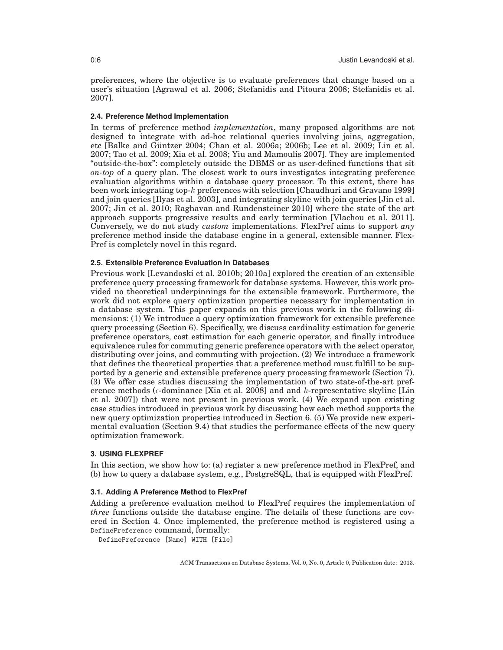preferences, where the objective is to evaluate preferences that change based on a user's situation [Agrawal et al. 2006; Stefanidis and Pitoura 2008; Stefanidis et al. 2007].

#### **2.4. Preference Method Implementation**

In terms of preference method *implementation*, many proposed algorithms are not designed to integrate with ad-hoc relational queries involving joins, aggregation, etc [Balke and Güntzer  $2004$ ; Chan et al.  $2006a$ ;  $2006b$ ; Lee et al.  $2009$ ; Lin et al. 2007; Tao et al. 2009; Xia et al. 2008; Yiu and Mamoulis 2007]. They are implemented "outside-the-box": completely outside the DBMS or as user-defined functions that sit *on-top* of a query plan. The closest work to ours investigates integrating preference evaluation algorithms within a database query processor. To this extent, there has been work integrating top-k preferences with selection [Chaudhuri and Gravano 1999] and join queries [Ilyas et al. 2003], and integrating skyline with join queries [Jin et al. 2007; Jin et al. 2010; Raghavan and Rundensteiner 2010] where the state of the art approach supports progressive results and early termination [Vlachou et al. 2011]. Conversely, we do not study *custom* implementations. FlexPref aims to support *any* preference method inside the database engine in a general, extensible manner. Flex-Pref is completely novel in this regard.

### **2.5. Extensible Preference Evaluation in Databases**

Previous work [Levandoski et al. 2010b; 2010a] explored the creation of an extensible preference query processing framework for database systems. However, this work provided no theoretical underpinnings for the extensible framework. Furthermore, the work did not explore query optimization properties necessary for implementation in a database system. This paper expands on this previous work in the following dimensions: (1) We introduce a query optimization framework for extensible preference query processing (Section 6). Specifically, we discuss cardinality estimation for generic preference operators, cost estimation for each generic operator, and finally introduce equivalence rules for commuting generic preference operators with the select operator, distributing over joins, and commuting with projection. (2) We introduce a framework that defines the theoretical properties that a preference method must fulfill to be supported by a generic and extensible preference query processing framework (Section 7). (3) We offer case studies discussing the implementation of two state-of-the-art preference methods ( $\epsilon$ -dominance [Xia et al. 2008] and and k-representative skyline [Lin et al. 2007]) that were not present in previous work. (4) We expand upon existing case studies introduced in previous work by discussing how each method supports the new query optimization properties introduced in Section 6. (5) We provide new experimental evaluation (Section 9.4) that studies the performance effects of the new query optimization framework.

#### **3. USING FLEXPREF**

In this section, we show how to: (a) register a new preference method in FlexPref, and (b) how to query a database system, e.g., PostgreSQL, that is equipped with FlexPref.

### **3.1. Adding A Preference Method to FlexPref**

Adding a preference evaluation method to FlexPref requires the implementation of *three* functions outside the database engine. The details of these functions are covered in Section 4. Once implemented, the preference method is registered using a DefinePreference command, formally:

DefinePreference [Name] WITH [File]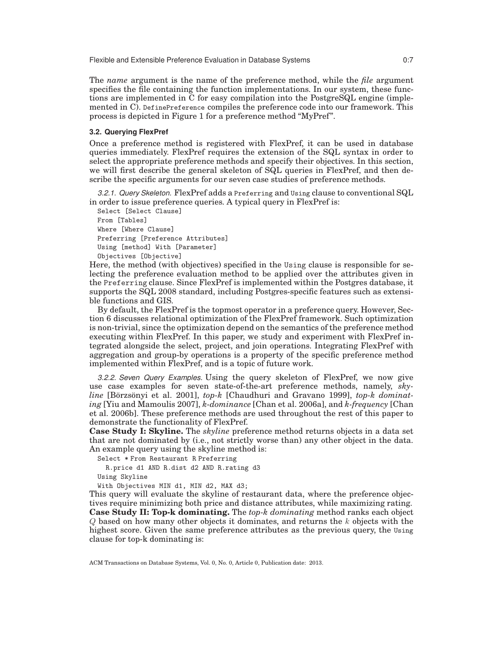The *name* argument is the name of the preference method, while the *file* argument specifies the file containing the function implementations. In our system, these functions are implemented in C for easy compilation into the PostgreSQL engine (implemented in C). DefinePreference compiles the preference code into our framework. This process is depicted in Figure 1 for a preference method "MyPref ".

#### **3.2. Querying FlexPref**

Once a preference method is registered with FlexPref, it can be used in database queries immediately. FlexPref requires the extension of the SQL syntax in order to select the appropriate preference methods and specify their objectives. In this section, we will first describe the general skeleton of SQL queries in FlexPref, and then describe the specific arguments for our seven case studies of preference methods.

3.2.1. Query Skeleton. FlexPref adds a Preferring and Using clause to conventional SQL in order to issue preference queries. A typical query in FlexPref is:

Select [Select Clause] From [Tables] Where [Where Clause] Preferring [Preference Attributes] Using [method] With [Parameter] Objectives [Objective]

Here, the method (with objectives) specified in the Using clause is responsible for selecting the preference evaluation method to be applied over the attributes given in the Preferring clause. Since FlexPref is implemented within the Postgres database, it supports the SQL 2008 standard, including Postgres-specific features such as extensible functions and GIS.

By default, the FlexPref is the topmost operator in a preference query. However, Section 6 discusses relational optimization of the FlexPref framework. Such optimization is non-trivial, since the optimization depend on the semantics of the preference method executing within FlexPref. In this paper, we study and experiment with FlexPref integrated alongside the select, project, and join operations. Integrating FlexPref with aggregation and group-by operations is a property of the specific preference method implemented within FlexPref, and is a topic of future work.

3.2.2. Seven Query Examples. Using the query skeleton of FlexPref, we now give use case examples for seven state-of-the-art preference methods, namely, *skyline* [Börzsönyi et al. 2001], *top-k* [Chaudhuri and Gravano 1999], *top-k dominating* [Yiu and Mamoulis 2007], *k-dominance* [Chan et al. 2006a], and *k-frequency* [Chan et al. 2006b]. These preference methods are used throughout the rest of this paper to demonstrate the functionality of FlexPref.

**Case Study I: Skyline.** The *skyline* preference method returns objects in a data set that are not dominated by (i.e., not strictly worse than) any other object in the data. An example query using the skyline method is:

Select \* From Restaurant R Preferring

R.price d1 AND R.dist d2 AND R.rating d3 Using Skyline

With Objectives MIN d1, MIN d2, MAX d3;

This query will evaluate the skyline of restaurant data, where the preference objectives require minimizing both price and distance attributes, while maximizing rating. **Case Study II: Top-k dominating.** The *top-k dominating* method ranks each object Q based on how many other objects it dominates, and returns the k objects with the highest score. Given the same preference attributes as the previous query, the Using clause for top-k dominating is: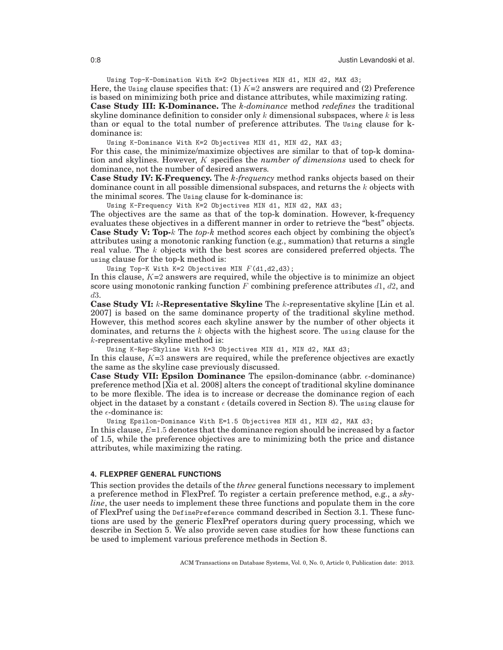Using Top-K-Domination With K=2 Objectives MIN d1, MIN d2, MAX d3;

Here, the Using clause specifies that: (1)  $K=2$  answers are required and (2) Preference is based on minimizing both price and distance attributes, while maximizing rating.

**Case Study III: K-Dominance.** The *k-dominance* method *redefines* the traditional skyline dominance definition to consider only  $k$  dimensional subspaces, where  $k$  is less than or equal to the total number of preference attributes. The Using clause for kdominance is:

Using K-Dominance With K=2 Objectives MIN d1, MIN d2, MAX d3;

For this case, the minimize/maximize objectives are similar to that of top-k domination and skylines. However, K specifies the *number of dimensions* used to check for dominance, not the number of desired answers.

**Case Study IV: K-Frequency.** The *k-frequency* method ranks objects based on their dominance count in all possible dimensional subspaces, and returns the  $k$  objects with the minimal scores. The Using clause for k-dominance is:

Using K-Frequency With K=2 Objectives MIN d1, MIN d2, MAX d3;

The objectives are the same as that of the top-k domination. However, k-frequency evaluates these objectives in a different manner in order to retrieve the "best" objects. **Case Study V: Top-**k The *top-k* method scores each object by combining the object's attributes using a monotonic ranking function (e.g., summation) that returns a single real value. The  $k$  objects with the best scores are considered preferred objects. The using clause for the top-k method is:

Using Top-K With K=2 Objectives MIN  $F$ (d1,d2,d3);

In this clause,  $K=2$  answers are required, while the objective is to minimize an object score using monotonic ranking function  $F$  combining preference attributes  $d_1, d_2$ , and d3.

**Case Study VI:** k**-Representative Skyline** The k-representative skyline [Lin et al. 2007] is based on the same dominance property of the traditional skyline method. However, this method scores each skyline answer by the number of other objects it dominates, and returns the  $k$  objects with the highest score. The using clause for the k-representative skyline method is:

Using K-Rep-Skyline With K=3 Objectives MIN d1, MIN d2, MAX d3;

In this clause,  $K=3$  answers are required, while the preference objectives are exactly the same as the skyline case previously discussed.

**Case Study VII: Epsilon Dominance** The epsilon-dominance (abbr. ← dominance) preference method [Xia et al. 2008] alters the concept of traditional skyline dominance to be more flexible. The idea is to increase or decrease the dominance region of each object in the dataset by a constant  $\epsilon$  (details covered in Section 8). The using clause for the  $\epsilon$ -dominance is:

Using Epsilon-Dominance With E=1.5 Objectives MIN d1, MIN d2, MAX d3; In this clause,  $E=1.5$  denotes that the dominance region should be increased by a factor of 1.5, while the preference objectives are to minimizing both the price and distance attributes, while maximizing the rating.

# **4. FLEXPREF GENERAL FUNCTIONS**

This section provides the details of the *three* general functions necessary to implement a preference method in FlexPref. To register a certain preference method, e.g., a *skyline*, the user needs to implement these three functions and populate them in the core of FlexPref using the DefinePreference command described in Section 3.1. These functions are used by the generic FlexPref operators during query processing, which we describe in Section 5. We also provide seven case studies for how these functions can be used to implement various preference methods in Section 8.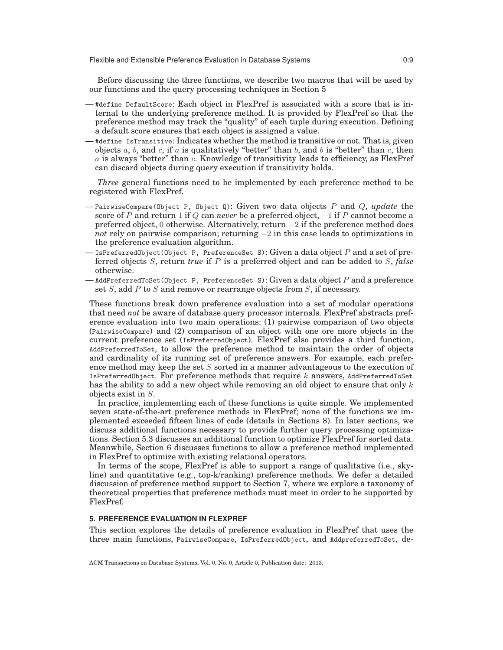Before discussing the three functions, we describe two macros that will be used by our functions and the query processing techniques in Section 5

- #define DefaultScore: Each object in FlexPref is associated with a score that is internal to the underlying preference method. It is provided by FlexPref so that the preference method may track the "quality" of each tuple during execution. Defining a default score ensures that each object is assigned a value.
- #define IsTransitive: Indicates whether the method is transitive or not. That is, given objects  $a, b$ , and  $c,$  if  $a$  is qualitatively "better" than  $b$ , and  $b$  is "better" than  $c$ , then a is always "better" than c. Knowledge of transitivity leads to efficiency, as FlexPref can discard objects during query execution if transitivity holds.

*Three* general functions need to be implemented by each preference method to be registered with FlexPref.

- PairwiseCompare(Object P, Object Q): Given two data objects P and Q, *update* the score of P and return 1 if Q can *never* be a preferred object,  $-1$  if P cannot become a preferred object, 0 otherwise. Alternatively, return  $-2$  if the preference method does *not* rely on pairwise comparison; returning  $-2$  in this case leads to optimizations in the preference evaluation algorithm.
- IsPreferredObject(Object P, PreferenceSet S): Given a data object P and a set of preferred objects S, return *true* if P is a preferred object and can be added to S, *false* otherwise.
- AddPreferredToSet(Object P, PreferenceSet S): Given a data object P and a preference set  $S$ , add  $P$  to  $S$  and remove or rearrange objects from  $S$ , if necessary.

These functions break down preference evaluation into a set of modular operations that need *not* be aware of database query processor internals. FlexPref abstracts preference evaluation into two main operations: (1) pairwise comparison of two objects (PairwiseCompare) and (2) comparison of an object with one ore more objects in the current preference set (IsPreferredObject). FlexPref also provides a third function, AddPreferredToSet, to allow the preference method to maintain the order of objects and cardinality of its running set of preference answers. For example, each preference method may keep the set S sorted in a manner advantageous to the execution of IsPreferredObject. For preference methods that require  $k$  answers, AddPreferredToSet has the ability to add a new object while removing an old object to ensure that only  $k$ objects exist in S.

In practice, implementing each of these functions is quite simple. We implemented seven state-of-the-art preference methods in FlexPref; none of the functions we implemented exceeded fifteen lines of code (details in Sections 8). In later sections, we discuss additional functions necessary to provide further query processing optimizations. Section 5.3 discusses an additional function to optimize FlexPref for sorted data. Meanwhile, Section 6 discusses functions to allow a preference method implemented in FlexPref to optimize with existing relational operators.

In terms of the scope, FlexPref is able to support a range of qualitative (i.e., skyline) and quantitative (e.g., top-k/ranking) preference methods. We defer a detailed discussion of preference method support to Section 7, where we explore a taxonomy of theoretical properties that preference methods must meet in order to be supported by FlexPref.

# **5. PREFERENCE EVALUATION IN FLEXPREF**

This section explores the details of preference evaluation in FlexPref that uses the three main functions, PairwiseCompare, IsPreferredObject, and AddpreferredToSet, de-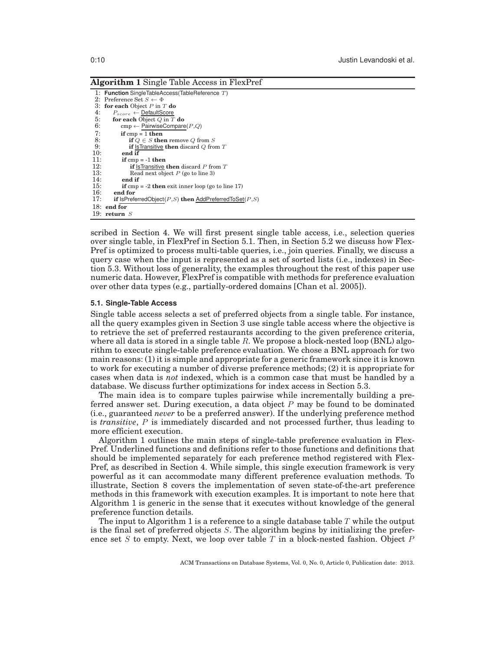**Algorithm 1** Single Table Access in FlexPref

```
1: Function SingleTableAccess(TableReference T)<br>2: Proference Set S \leftarrow \PhiPreference Set S \leftarrow \Phi3: for each Object P in T do<br>4: P_{score} \leftarrow DefaultScore
 4: P_{score} \leftarrow \frac{\text{DefaultScore}}{\text{for each Object } O \text{ in } T}5: for each Object Q in T do<br>6: cmp \leftarrow PairwiseCompare
               cmp \leftarrow \text{PairwiseCompare}(P, Q)7: if cmp = 1 then<br>8: if Q \in S then
 8: if Q \in S then remove Q from S<br>9: if Is Transitive then discard Q from
9: if IsTransitive then discard Q from T<br>10: end if
10: end if
11: if cmp = -1 then<br>12: if IsTransitive
12: if <u>IsTransitive</u> then discard P from T<br>13: Read next object P (go to line 3)
13: Read next object P (go to line 3)<br>14: end if
14: end if
15: if cmp = -2 then exit inner loop (go to line 17)<br>16: end for
16: end for<br>17: if IsPrefe
           if IsPreferredObject(P,S) then AddPreferredToSet(P,S)
18: end for
19: return S
```
scribed in Section 4. We will first present single table access, i.e., selection queries over single table, in FlexPref in Section 5.1. Then, in Section 5.2 we discuss how Flex-Pref is optimized to process multi-table queries, i.e., join queries. Finally, we discuss a query case when the input is represented as a set of sorted lists (i.e., indexes) in Section 5.3. Without loss of generality, the examples throughout the rest of this paper use numeric data. However, FlexPref is compatible with methods for preference evaluation over other data types (e.g., partially-ordered domains [Chan et al. 2005]).

#### **5.1. Single-Table Access**

Single table access selects a set of preferred objects from a single table. For instance, all the query examples given in Section 3 use single table access where the objective is to retrieve the set of preferred restaurants according to the given preference criteria, where all data is stored in a single table  $R$ . We propose a block-nested loop (BNL) algorithm to execute single-table preference evaluation. We chose a BNL approach for two main reasons: (1) it is simple and appropriate for a generic framework since it is known to work for executing a number of diverse preference methods; (2) it is appropriate for cases when data is *not* indexed, which is a common case that must be handled by a database. We discuss further optimizations for index access in Section 5.3.

The main idea is to compare tuples pairwise while incrementally building a preferred answer set. During execution, a data object  $P$  may be found to be dominated (i.e., guaranteed *never* to be a preferred answer). If the underlying preference method is *transitive*, P is immediately discarded and not processed further, thus leading to more efficient execution.

Algorithm 1 outlines the main steps of single-table preference evaluation in Flex-Pref. Underlined functions and definitions refer to those functions and definitions that should be implemented separately for each preference method registered with Flex-Pref, as described in Section 4. While simple, this single execution framework is very powerful as it can accommodate many different preference evaluation methods. To illustrate, Section 8 covers the implementation of seven state-of-the-art preference methods in this framework with execution examples. It is important to note here that Algorithm 1 is generic in the sense that it executes without knowledge of the general preference function details.

The input to Algorithm 1 is a reference to a single database table  $T$  while the output is the final set of preferred objects  $S$ . The algorithm begins by initializing the preference set S to empty. Next, we loop over table T in a block-nested fashion. Object  $P$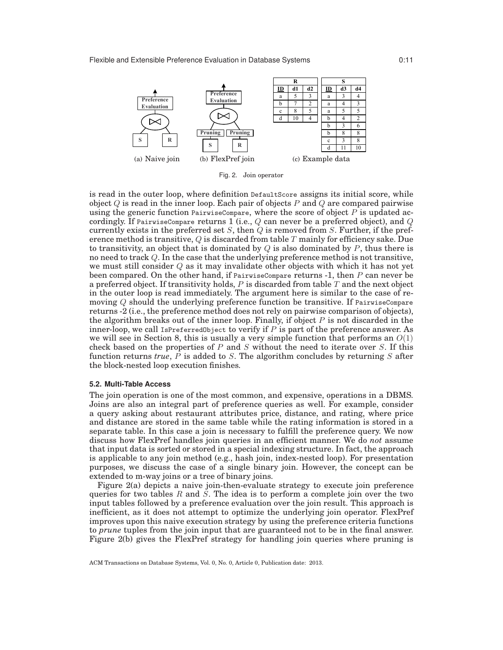

Fig. 2. Join operator

is read in the outer loop, where definition DefaultScore assigns its initial score, while object  $Q$  is read in the inner loop. Each pair of objects  $P$  and  $Q$  are compared pairwise using the generic function PairwiseCompare, where the score of object  $P$  is updated accordingly. If PairwiseCompare returns 1 (i.e.,  $Q$  can never be a preferred object), and  $Q$ currently exists in the preferred set  $S$ , then  $Q$  is removed from  $S$ . Further, if the preference method is transitive,  $Q$  is discarded from table  $T$  mainly for efficiency sake. Due to transitivity, an object that is dominated by  $Q$  is also dominated by  $P$ , thus there is no need to track Q. In the case that the underlying preference method is not transitive, we must still consider  $Q$  as it may invalidate other objects with which it has not yet been compared. On the other hand, if  $\text{PairwiseCompare returns } -1$ , then P can never be a preferred object. If transitivity holds,  $P$  is discarded from table  $T$  and the next object in the outer loop is read immediately. The argument here is similar to the case of removing  $Q$  should the underlying preference function be transitive. If PairwiseCompare returns -2 (i.e., the preference method does not rely on pairwise comparison of objects), the algorithm breaks out of the inner loop. Finally, if object  $P$  is not discarded in the inner-loop, we call IsPreferredObject to verify if  $P$  is part of the preference answer. As we will see in Section 8, this is usually a very simple function that performs an  $O(1)$ check based on the properties of  $P$  and  $S$  without the need to iterate over  $S$ . If this function returns *true*,  $P$  is added to  $S$ . The algorithm concludes by returning  $S$  after the block-nested loop execution finishes.

#### **5.2. Multi-Table Access**

The join operation is one of the most common, and expensive, operations in a DBMS. Joins are also an integral part of preference queries as well. For example, consider a query asking about restaurant attributes price, distance, and rating, where price and distance are stored in the same table while the rating information is stored in a separate table. In this case a join is necessary to fulfill the preference query. We now discuss how FlexPref handles join queries in an efficient manner. We do *not* assume that input data is sorted or stored in a special indexing structure. In fact, the approach is applicable to any join method (e.g., hash join, index-nested loop). For presentation purposes, we discuss the case of a single binary join. However, the concept can be extended to m-way joins or a tree of binary joins.

Figure 2(a) depicts a naive join-then-evaluate strategy to execute join preference queries for two tables  $R$  and  $S$ . The idea is to perform a complete join over the two input tables followed by a preference evaluation over the join result. This approach is inefficient, as it does not attempt to optimize the underlying join operator. FlexPref improves upon this naive execution strategy by using the preference criteria functions to *prune* tuples from the join input that are guaranteed not to be in the final answer. Figure 2(b) gives the FlexPref strategy for handling join queries where pruning is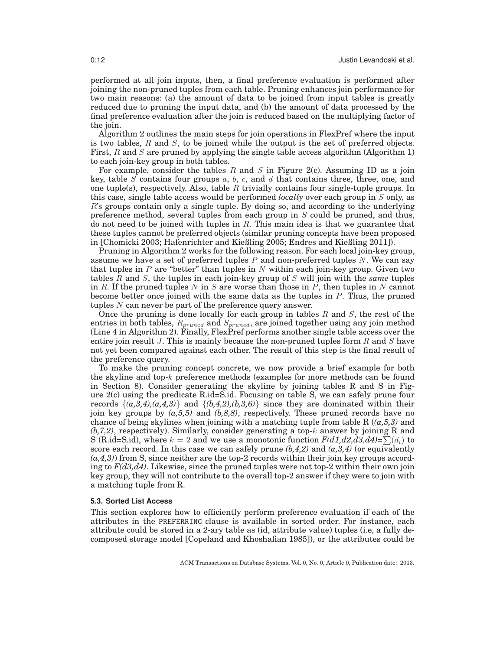performed at all join inputs, then, a final preference evaluation is performed after joining the non-pruned tuples from each table. Pruning enhances join performance for two main reasons: (a) the amount of data to be joined from input tables is greatly reduced due to pruning the input data, and (b) the amount of data processed by the final preference evaluation after the join is reduced based on the multiplying factor of the join.

Algorithm 2 outlines the main steps for join operations in FlexPref where the input is two tables,  $R$  and  $S$ , to be joined while the output is the set of preferred objects. First,  $R$  and  $S$  are pruned by applying the single table access algorithm (Algorithm 1) to each join-key group in both tables.

For example, consider the tables  $R$  and  $S$  in Figure 2(c). Assuming ID as a join key, table S contains four groups  $a, b, c$ , and d that contains three, three, one, and one tuple(s), respectively. Also, table R trivially contains four single-tuple groups. In this case, single table access would be performed *locally* over each group in S only, as  $R$ 's groups contain only a single tuple. By doing so, and according to the underlying preference method, several tuples from each group in S could be pruned, and thus, do not need to be joined with tuples in  $R$ . This main idea is that we guarantee that these tuples cannot be preferred objects (similar pruning concepts have been proposed in [Chomicki 2003; Hafenrichter and Kießling 2005; Endres and Kießling 2011]).

Pruning in Algorithm 2 works for the following reason. For each local join-key group, assume we have a set of preferred tuples  $P$  and non-preferred tuples  $N$ . We can say that tuples in  $P$  are "better" than tuples in  $N$  within each join-key group. Given two tables R and S, the tuples in each join-key group of S will join with the *same* tuples in R. If the pruned tuples N in S are worse than those in P, then tuples in N cannot become better once joined with the same data as the tuples in P. Thus, the pruned tuples N can never be part of the preference query answer.

Once the pruning is done locally for each group in tables  $R$  and  $S$ , the rest of the entries in both tables,  $R_{pruned}$  and  $S_{pruned}$ , are joined together using any join method (Line 4 in Algorithm 2). Finally, FlexPref performs another single table access over the entire join result J. This is mainly because the non-pruned tuples form  $R$  and  $S$  have not yet been compared against each other. The result of this step is the final result of the preference query.

To make the pruning concept concrete, we now provide a brief example for both the skyline and top-k preference methods (examples for more methods can be found in Section 8). Consider generating the skyline by joining tables R and S in Figure 2(c) using the predicate R.id=S.id. Focusing on table S, we can safely prune four records  $\{(a,3,4),(a,4,3)\}\$  and  $\{(b,4,2),(b,3,6)\}\$  since they are dominated within their join key groups by *(a,5,5)* and *(b,8,8)*, respectively. These pruned records have no chance of being skylines when joining with a matching tuple from table R (*(a,5,3)* and *(b,7,2)*, respectively). Similarly, consider generating a top-k answer by joining R and S (R.id=S.id), where  $k = 2$  and we use a monotonic function  $F(d1, d2, d3, d4) = \sum_{i=1}^{n} (d_i)$  to score each record. In this case we can safely prune  $(b,4,2)$  and  $(a,3,4)$  (or equivalently  $(a,4,3)$ ) from S, since neither are the top-2 records within their join key groups according to *F(d3,d4)*. Likewise, since the pruned tuples were not top-2 within their own join key group, they will not contribute to the overall top-2 answer if they were to join with a matching tuple from R.

#### **5.3. Sorted List Access**

This section explores how to efficiently perform preference evaluation if each of the attributes in the PREFERRING clause is available in sorted order. For instance, each attribute could be stored in a 2-ary table as (id, attribute value) tuples (i.e, a fully decomposed storage model [Copeland and Khoshafian 1985]), or the attributes could be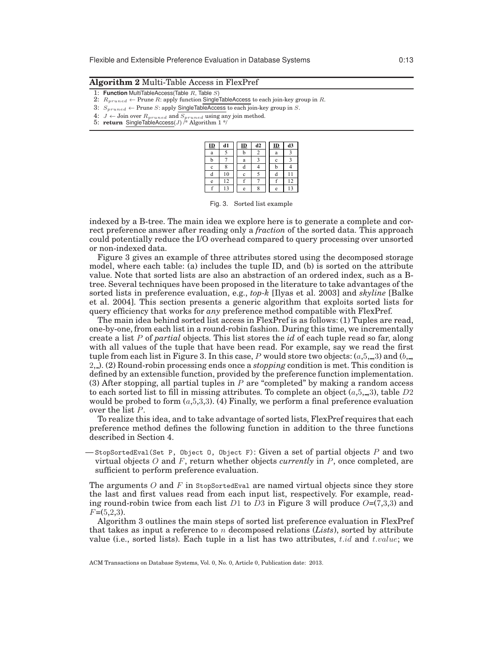## **Algorithm 2** Multi-Table Access in FlexPref

- 1: **Function** MultiTableAccess(Table R, Table S)
- 2:  $R_{pruned} \leftarrow$  Prune R: apply function SingleTableAccess to each join-key group in R.
- 3:  $S_{pruned} \leftarrow$  Prune S: apply SingleTableAccess to each join-key group in S.
- 4:  $J \leftarrow$  Join over  $R_{pruned}$  and  $S_{pruned}$  using any join method.<br>5: **return** SingleTableAccess(*J*) /\* Algorithm 1 \*/
- 

| ம           | d1 | w | d2 | ID          | d3 |
|-------------|----|---|----|-------------|----|
| a           |    |   |    | a           |    |
| b           |    | a |    | $\mathbf c$ |    |
| $\mathbf c$ |    |   |    |             |    |
| d           | 10 | c |    |             |    |
| e           | 12 |   |    |             | 12 |
|             | 13 | e |    | e           | 13 |

Fig. 3. Sorted list example

indexed by a B-tree. The main idea we explore here is to generate a complete and correct preference answer after reading only a *fraction* of the sorted data. This approach could potentially reduce the I/O overhead compared to query processing over unsorted or non-indexed data.

Figure 3 gives an example of three attributes stored using the decomposed storage model, where each table: (a) includes the tuple ID, and (b) is sorted on the attribute value. Note that sorted lists are also an abstraction of an ordered index, such as a Btree. Several techniques have been proposed in the literature to take advantages of the sorted lists in preference evaluation, e.g., *top-k* [Ilyas et al. 2003] and *skyline* [Balke et al. 2004]. This section presents a generic algorithm that exploits sorted lists for query efficiency that works for *any* preference method compatible with FlexPref.

The main idea behind sorted list access in FlexPref is as follows: (1) Tuples are read, one-by-one, from each list in a round-robin fashion. During this time, we incrementally create a list P of *partial* objects. This list stores the *id* of each tuple read so far, along with all values of the tuple that have been read. For example, say we read the first tuple from each list in Figure 3. In this case, P would store two objects:  $(a,5,3)$  and  $(b,2)$ 2, ). (2) Round-robin processing ends once a *stopping* condition is met. This condition is defined by an extensible function, provided by the preference function implementation. (3) After stopping, all partial tuples in  $P$  are "completed" by making a random access to each sorted list to fill in missing attributes. To complete an object  $(a,5,3)$ , table  $D2$ would be probed to form  $(a,5,3,3)$ . (4) Finally, we perform a final preference evaluation over the list P.

To realize this idea, and to take advantage of sorted lists, FlexPref requires that each preference method defines the following function in addition to the three functions described in Section 4.

— StopSortedEval(Set P, Object O, Object F): Given a set of partial objects P and two virtual objects O and F, return whether objects *currently* in P, once completed, are sufficient to perform preference evaluation.

The arguments O and  $F$  in StopSortedEval are named virtual objects since they store the last and first values read from each input list, respectively. For example, reading round-robin twice from each list  $D1$  to  $D3$  in Figure 3 will produce  $O=(7,3,3)$  and  $F=(5,2,3)$ .

Algorithm 3 outlines the main steps of sorted list preference evaluation in FlexPref that takes as input a reference to n decomposed relations (*Lists*), sorted by attribute value (i.e., sorted lists). Each tuple in a list has two attributes,  $t.id$  and  $t.value$ ; we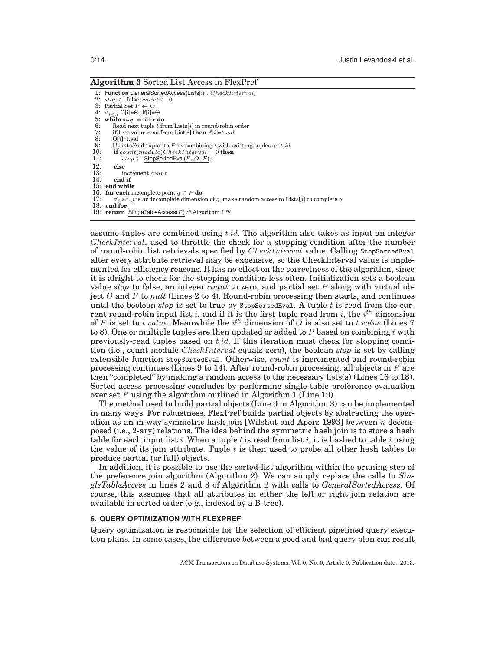**Algorithm 3** Sorted List Access in FlexPref

1: **Function** GeneralSortedAccess(Lists[n],  $CheckInterval)$ <br>2:  $ston \leftarrow false$ ;  $count \leftarrow 0$  $stop \leftarrow false; count \leftarrow 0$ 3: Partial Set  $P \leftarrow \Theta$ <br>4:  $\forall i \leq n$  O[i]= $\Theta$ : F[i]=  $\forall_{i \leq n}$  O[i]= $\Theta$ ; F[i]= $\Theta$ 5: **while**  $stop = false$  **do**<br>6: Read next tuple *t* fr 6: Read next tuple t from Lists[i] in round-robin order<br>7: **if** first value read from List[i] **then**  $F[i]=t.val$ 7: **if** first value read from List[i] **then**  $F[i]=t.val$ <br>8:  $O[i]=t val$ 8:  $O[i]=t.val$ <br>9: Update/Ac 9: Update/Add tuples to P by combining t with existing tuples on t.id 10: if  $count(modulo)CheckInterval = 0$  then 10: **if**  $count(modulo)CheckInterval = 0$  **then**<br>11:  $stop \leftarrow \text{StopSortedEval}(P, O, F);$  $stop \leftarrow$  StopSortedEval(P, O, F); 12: **else** 13:  $\frac{1}{14}$  increment *count* end if 15: **end while 16: for each** incomplete point  $q \in P$  **do** 17:  $\forall i$  s.t. *i* is an incomplete dimension  $\forall$ <sub>j</sub> s.t. *j* is an incomplete dimension of q, make random access to Lists[j] to complete q 18: **end for** 19: **return** SingleTableAccess(P) /\* Algorithm 1 \*/

assume tuples are combined using  $t.id$ . The algorithm also takes as input an integer  $CheckInterval$ , used to throttle the check for a stopping condition after the number of round-robin list retrievals specified by *CheckInterval* value. Calling StopSortedEval after every attribute retrieval may be expensive, so the CheckInterval value is implemented for efficiency reasons. It has no effect on the correctness of the algorithm, since it is alright to check for the stopping condition less often. Initialization sets a boolean value *stop* to false, an integer *count* to zero, and partial set P along with virtual object  $O$  and  $F$  to *null* (Lines 2 to 4). Round-robin processing then starts, and continues until the boolean *stop* is set to true by  $\sigma$  stopSortedEval. A tuple t is read from the current round-robin input list  $i$ , and if it is the first tuple read from  $i$ , the  $i^{th}$  dimension of F is set to t.value. Meanwhile the  $i^{th}$  dimension of O is also set to t.value (Lines 7 to 8). One or multiple tuples are then updated or added to  $P$  based on combining t with previously-read tuples based on  $t.id$ . If this iteration must check for stopping condition (i.e., count module CheckInterval equals zero), the boolean *stop* is set by calling extensible function StopSortedEval. Otherwise, count is incremented and round-robin processing continues (Lines 9 to 14). After round-robin processing, all objects in  $P$  are then "completed" by making a random access to the necessary lists(s) (Lines 16 to 18). Sorted access processing concludes by performing single-table preference evaluation over set P using the algorithm outlined in Algorithm 1 (Line 19).

The method used to build partial objects (Line 9 in Algorithm 3) can be implemented in many ways. For robustness, FlexPref builds partial objects by abstracting the operation as an m-way symmetric hash join [Wilshut and Apers 1993] between  $n$  decomposed (i.e., 2-ary) relations. The idea behind the symmetric hash join is to store a hash table for each input list i. When a tuple t is read from list i, it is hashed to table i using the value of its join attribute. Tuple  $t$  is then used to probe all other hash tables to produce partial (or full) objects.

In addition, it is possible to use the sorted-list algorithm within the pruning step of the preference join algorithm (Algorithm 2). We can simply replace the calls to *SingleTableAccess* in lines 2 and 3 of Algorithm 2 with calls to *GeneralSortedAccess*. Of course, this assumes that all attributes in either the left or right join relation are available in sorted order (e.g., indexed by a B-tree).

### **6. QUERY OPTIMIZATION WITH FLEXPREF**

Query optimization is responsible for the selection of efficient pipelined query execution plans. In some cases, the difference between a good and bad query plan can result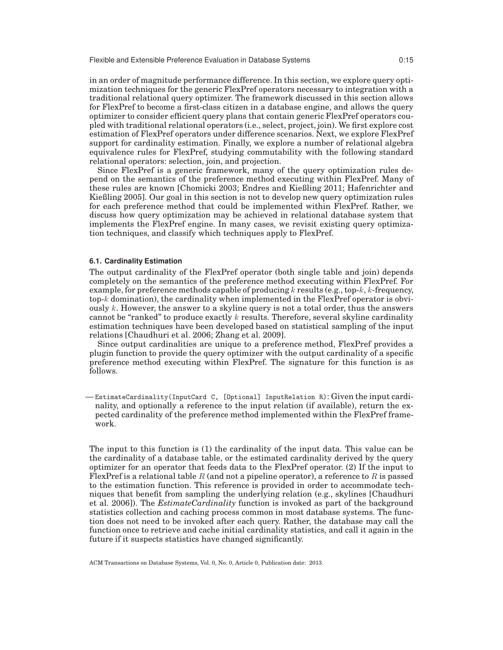in an order of magnitude performance difference. In this section, we explore query optimization techniques for the generic FlexPref operators necessary to integration with a traditional relational query optimizer. The framework discussed in this section allows for FlexPref to become a first-class citizen in a database engine, and allows the query optimizer to consider efficient query plans that contain generic FlexPref operators coupled with traditional relational operators (i.e., select, project, join). We first explore cost estimation of FlexPref operators under difference scenarios. Next, we explore FlexPref support for cardinality estimation. Finally, we explore a number of relational algebra equivalence rules for FlexPref, studying commutability with the following standard relational operators: selection, join, and projection.

Since FlexPref is a generic framework, many of the query optimization rules depend on the semantics of the preference method executing within FlexPref. Many of these rules are known [Chomicki 2003; Endres and Kießling 2011; Hafenrichter and Kießling 2005]. Our goal in this section is not to develop new query optimization rules for each preference method that could be implemented within FlexPref. Rather, we discuss how query optimization may be achieved in relational database system that implements the FlexPref engine. In many cases, we revisit existing query optimization techniques, and classify which techniques apply to FlexPref.

#### **6.1. Cardinality Estimation**

The output cardinality of the FlexPref operator (both single table and join) depends completely on the semantics of the preference method executing within FlexPref. For example, for preference methods capable of producing k results (e.g., top-k, k-frequency, top- $k$  domination), the cardinality when implemented in the FlexPref operator is obviously k. However, the answer to a skyline query is not a total order, thus the answers cannot be "ranked" to produce exactly  $k$  results. Therefore, several skyline cardinality estimation techniques have been developed based on statistical sampling of the input relations [Chaudhuri et al. 2006; Zhang et al. 2009].

Since output cardinalities are unique to a preference method, FlexPref provides a plugin function to provide the query optimizer with the output cardinality of a specific preference method executing within FlexPref. The signature for this function is as follows.

— EstimateCardinality(InputCard C, [Optional] InputRelation R): Given the input cardinality, and optionally a reference to the input relation (if available), return the expected cardinality of the preference method implemented within the FlexPref framework.

The input to this function is (1) the cardinality of the input data. This value can be the cardinality of a database table, or the estimated cardinality derived by the query optimizer for an operator that feeds data to the FlexPref operator. (2) If the input to FlexPref is a relational table R (and not a pipeline operator), a reference to R is passed to the estimation function. This reference is provided in order to accommodate techniques that benefit from sampling the underlying relation (e.g., skylines [Chaudhuri et al. 2006]). The *EstimateCardinality* function is invoked as part of the background statistics collection and caching process common in most database systems. The function does not need to be invoked after each query. Rather, the database may call the function once to retrieve and cache initial cardinality statistics, and call it again in the future if it suspects statistics have changed significantly.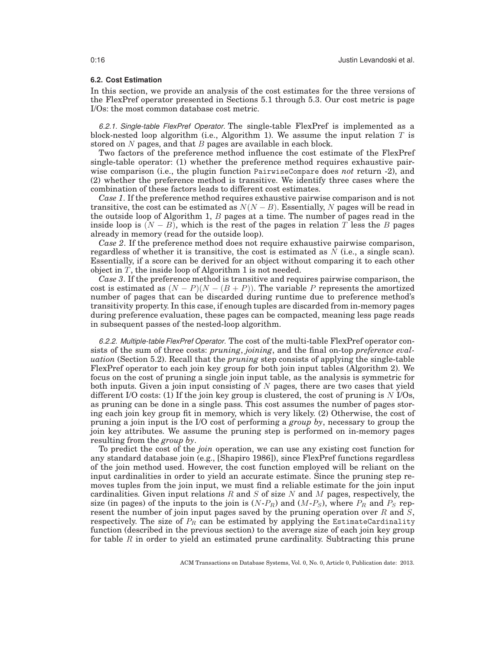### **6.2. Cost Estimation**

In this section, we provide an analysis of the cost estimates for the three versions of the FlexPref operator presented in Sections 5.1 through 5.3. Our cost metric is page I/Os: the most common database cost metric.

6.2.1. Single-table FlexPref Operator. The single-table FlexPref is implemented as a block-nested loop algorithm (i.e., Algorithm 1). We assume the input relation  $T$  is stored on  $N$  pages, and that  $B$  pages are available in each block.

Two factors of the preference method influence the cost estimate of the FlexPref single-table operator: (1) whether the preference method requires exhaustive pairwise comparison (i.e., the plugin function PairwiseCompare does *not* return -2), and (2) whether the preference method is transitive. We identify three cases where the combination of these factors leads to different cost estimates.

*Case 1*. If the preference method requires exhaustive pairwise comparison and is not transitive, the cost can be estimated as  $N(N - B)$ . Essentially, N pages will be read in the outside loop of Algorithm 1,  $B$  pages at a time. The number of pages read in the inside loop is  $(N - B)$ , which is the rest of the pages in relation T less the B pages already in memory (read for the outside loop).

*Case 2*. If the preference method does not require exhaustive pairwise comparison, regardless of whether it is transitive, the cost is estimated as  $N$  (i.e., a single scan). Essentially, if a score can be derived for an object without comparing it to each other object in  $T$ , the inside loop of Algorithm 1 is not needed.

*Case 3*. If the preference method is transitive and requires pairwise comparison, the cost is estimated as  $(N - P)(N - (B + P))$ . The variable P represents the amortized number of pages that can be discarded during runtime due to preference method's transitivity property. In this case, if enough tuples are discarded from in-memory pages during preference evaluation, these pages can be compacted, meaning less page reads in subsequent passes of the nested-loop algorithm.

6.2.2. Multiple-table FlexPref Operator. The cost of the multi-table FlexPref operator consists of the sum of three costs: *pruning*, *joining*, and the final on-top *preference evaluation* (Section 5.2). Recall that the *pruning* step consists of applying the single-table FlexPref operator to each join key group for both join input tables (Algorithm 2). We focus on the cost of pruning a single join input table, as the analysis is symmetric for both inputs. Given a join input consisting of  $N$  pages, there are two cases that yield different I/O costs: (1) If the join key group is clustered, the cost of pruning is  $N$  I/Os, as pruning can be done in a single pass. This cost assumes the number of pages storing each join key group fit in memory, which is very likely. (2) Otherwise, the cost of pruning a join input is the I/O cost of performing a *group by*, necessary to group the join key attributes. We assume the pruning step is performed on in-memory pages resulting from the *group by*.

To predict the cost of the *join* operation, we can use any existing cost function for any standard database join (e.g., [Shapiro 1986]), since FlexPref functions regardless of the join method used. However, the cost function employed will be reliant on the input cardinalities in order to yield an accurate estimate. Since the pruning step removes tuples from the join input, we must find a reliable estimate for the join input cardinalities. Given input relations  $R$  and  $S$  of size  $N$  and  $M$  pages, respectively, the size (in pages) of the inputs to the join is  $(N-P_R)$  and  $(M-P_S)$ , where  $P_R$  and  $P_S$  represent the number of join input pages saved by the pruning operation over  $R$  and  $S$ , respectively. The size of  $P_R$  can be estimated by applying the EstimateCardinality function (described in the previous section) to the average size of each join key group for table R in order to yield an estimated prune cardinality. Subtracting this prune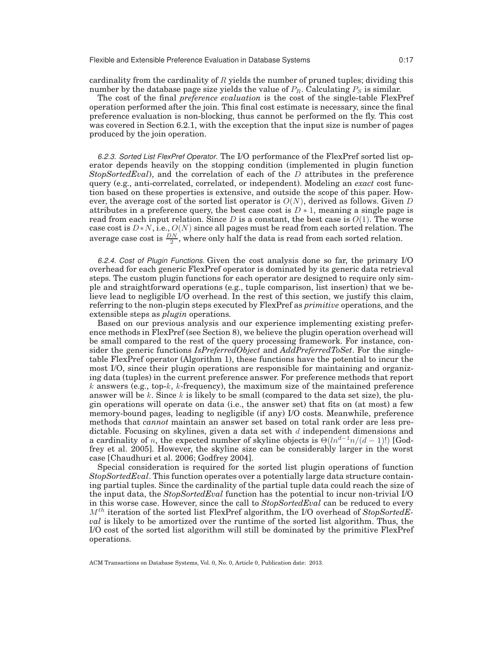cardinality from the cardinality of  $R$  yields the number of pruned tuples; dividing this number by the database page size yields the value of  $P_R$ . Calculating  $P_S$  is similar.

The cost of the final *preference evaluation* is the cost of the single-table FlexPref operation performed after the join. This final cost estimate is necessary, since the final preference evaluation is non-blocking, thus cannot be performed on the fly. This cost was covered in Section 6.2.1, with the exception that the input size is number of pages produced by the join operation.

6.2.3. Sorted List FlexPref Operator. The I/O performance of the FlexPref sorted list operator depends heavily on the stopping condition (implemented in plugin function *StopSortedEval*), and the correlation of each of the D attributes in the preference query (e.g., anti-correlated, correlated, or independent). Modeling an *exact* cost function based on these properties is extensive, and outside the scope of this paper. However, the average cost of the sorted list operator is  $O(N)$ , derived as follows. Given D attributes in a preference query, the best case cost is  $D * 1$ , meaning a single page is read from each input relation. Since D is a constant, the best case is  $O(1)$ . The worse case cost is  $D*N,$  i.e.,  $O(N)$  since all pages must be read from each sorted relation. The average case cost is  $\frac{DN}{2}$ , where only half the data is read from each sorted relation.

6.2.4. Cost of Plugin Functions. Given the cost analysis done so far, the primary I/O overhead for each generic FlexPref operator is dominated by its generic data retrieval steps. The custom plugin functions for each operator are designed to require only simple and straightforward operations (e.g., tuple comparison, list insertion) that we believe lead to negligible I/O overhead. In the rest of this section, we justify this claim, referring to the non-plugin steps executed by FlexPref as *primitive* operations, and the extensible steps as *plugin* operations.

Based on our previous analysis and our experience implementing existing preference methods in FlexPref (see Section 8), we believe the plugin operation overhead will be small compared to the rest of the query processing framework. For instance, consider the generic functions *IsPreferredObject* and *AddPreferredToSet*. For the singletable FlexPref operator (Algorithm 1), these functions have the potential to incur the most I/O, since their plugin operations are responsible for maintaining and organizing data (tuples) in the current preference answer. For preference methods that report k answers (e.g., top-k, k-frequency), the maximum size of the maintained preference answer will be  $k$ . Since  $k$  is likely to be small (compared to the data set size), the plugin operations will operate on data (i.e., the answer set) that fits on (at most) a few memory-bound pages, leading to negligible (if any) I/O costs. Meanwhile, preference methods that *cannot* maintain an answer set based on total rank order are less predictable. Focusing on skylines, given a data set with  $d$  independent dimensions and a cardinality of n, the expected number of skyline objects is  $\Theta(ln^{d-1}n/(d-1)!)$  [Godfrey et al. 2005]. However, the skyline size can be considerably larger in the worst case [Chaudhuri et al. 2006; Godfrey 2004].

Special consideration is required for the sorted list plugin operations of function *StopSortedEval*. This function operates over a potentially large data structure containing partial tuples. Since the cardinality of the partial tuple data could reach the size of the input data, the *StopSortedEval* function has the potential to incur non-trivial I/O in this worse case. However, since the call to *StopSortedEval* can be reduced to every Mth iteration of the sorted list FlexPref algorithm, the I/O overhead of *StopSortedEval* is likely to be amortized over the runtime of the sorted list algorithm. Thus, the I/O cost of the sorted list algorithm will still be dominated by the primitive FlexPref operations.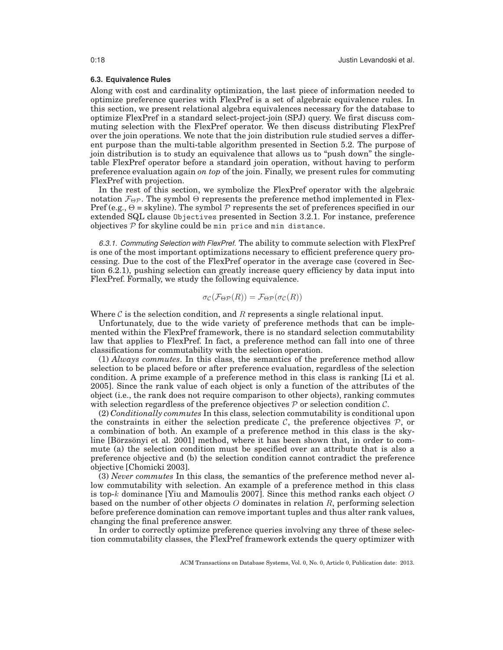#### **6.3. Equivalence Rules**

Along with cost and cardinality optimization, the last piece of information needed to optimize preference queries with FlexPref is a set of algebraic equivalence rules. In this section, we present relational algebra equivalences necessary for the database to optimize FlexPref in a standard select-project-join (SPJ) query. We first discuss commuting selection with the FlexPref operator. We then discuss distributing FlexPref over the join operations. We note that the join distribution rule studied serves a different purpose than the multi-table algorithm presented in Section 5.2. The purpose of join distribution is to study an equivalence that allows us to "push down" the singletable FlexPref operator before a standard join operation, without having to perform preference evaluation again *on top* of the join. Finally, we present rules for commuting FlexPref with projection.

In the rest of this section, we symbolize the FlexPref operator with the algebraic notation  $\mathcal{F}_{\Theta\mathcal{P}}$ . The symbol  $\Theta$  represents the preference method implemented in Flex-Pref (e.g.,  $\Theta$  = skyline). The symbol  $\mathcal P$  represents the set of preferences specified in our extended SQL clause Objectives presented in Section 3.2.1. For instance, preference objectives  $P$  for skyline could be min price and min distance.

6.3.1. Commuting Selection with FlexPref. The ability to commute selection with FlexPref is one of the most important optimizations necessary to efficient preference query processing. Due to the cost of the FlexPref operator in the average case (covered in Section 6.2.1), pushing selection can greatly increase query efficiency by data input into FlexPref. Formally, we study the following equivalence.

$$
\sigma_{\mathcal{C}}(\mathcal{F}_{\Theta \mathcal{P}}(R)) = \mathcal{F}_{\Theta \mathcal{P}}(\sigma_{\mathcal{C}}(R))
$$

Where  $\mathcal C$  is the selection condition, and R represents a single relational input.

Unfortunately, due to the wide variety of preference methods that can be implemented within the FlexPref framework, there is no standard selection commutability law that applies to FlexPref. In fact, a preference method can fall into one of three classifications for commutability with the selection operation.

(1) *Always commutes*. In this class, the semantics of the preference method allow selection to be placed before or after preference evaluation, regardless of the selection condition. A prime example of a preference method in this class is ranking [Li et al. 2005]. Since the rank value of each object is only a function of the attributes of the object (i.e., the rank does not require comparison to other objects), ranking commutes with selection regardless of the preference objectives  $P$  or selection condition  $C$ .

(2) *Conditionally commutes* In this class, selection commutability is conditional upon the constraints in either the selection predicate  $C$ , the preference objectives  $P$ , or a combination of both. An example of a preference method in this class is the skyline [Börzsönyi et al. 2001] method, where it has been shown that, in order to commute (a) the selection condition must be specified over an attribute that is also a preference objective and (b) the selection condition cannot contradict the preference objective [Chomicki 2003].

(3) *Never commutes* In this class, the semantics of the preference method never allow commutability with selection. An example of a preference method in this class is top-k dominance [Yiu and Mamoulis 2007]. Since this method ranks each object  $O$ based on the number of other objects  $O$  dominates in relation  $R$ , performing selection before preference domination can remove important tuples and thus alter rank values, changing the final preference answer.

In order to correctly optimize preference queries involving any three of these selection commutability classes, the FlexPref framework extends the query optimizer with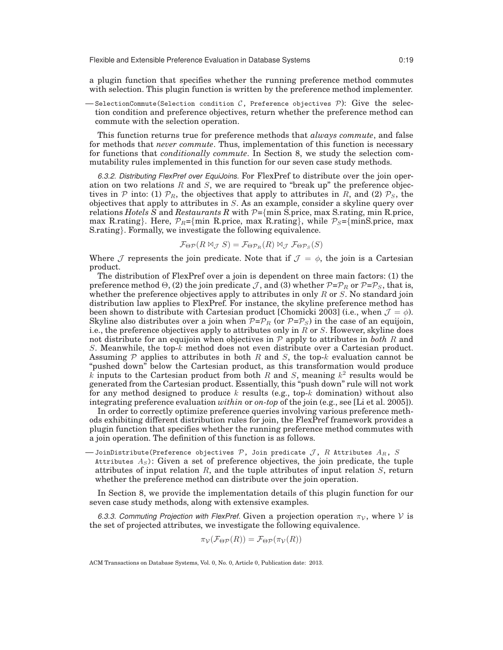a plugin function that specifies whether the running preference method commutes with selection. This plugin function is written by the preference method implementer.

— SelectionCommute(Selection condition C, Preference objectives  $P$ ): Give the selection condition and preference objectives, return whether the preference method can commute with the selection operation.

This function returns true for preference methods that *always commute*, and false for methods that *never commute*. Thus, implementation of this function is necessary for functions that *conditionally commute*. In Section 8, we study the selection commutability rules implemented in this function for our seven case study methods.

6.3.2. Distributing FlexPref over EquiJoins. For FlexPref to distribute over the join operation on two relations  $R$  and  $S$ , we are required to "break up" the preference objectives in P into: (1)  $\mathcal{P}_R$ , the objectives that apply to attributes in R, and (2)  $\mathcal{P}_S$ , the objectives that apply to attributes in  $S$ . As an example, consider a skyline query over relations *Hotels S* and *Restaurants R* with P={min S.price, max S.rating, min R.price, max R.rating}. Here,  $\mathcal{P}_R = \{ \text{min} \ R. \text{price}, \ \text{max} \ R. \text{rating} \}$ , while  $\mathcal{P}_S = \{ \text{min} S. \text{price}, \ \text{max} \ R. \text{radius} \}$ S.rating}. Formally, we investigate the following equivalence.

$$
\mathcal{F}_{\Theta\mathcal{P}}(R \bowtie_{\mathcal{J}} S) = \mathcal{F}_{\Theta\mathcal{P}_R}(R) \bowtie_{\mathcal{J}} \mathcal{F}_{\Theta\mathcal{P}_S}(S)
$$

Where  $\mathcal J$  represents the join predicate. Note that if  $\mathcal J = \phi$ , the join is a Cartesian product.

The distribution of FlexPref over a join is dependent on three main factors: (1) the preference method  $\Theta$ , (2) the join predicate J, and (3) whether  $\mathcal{P}=\mathcal{P}_R$  or  $\mathcal{P}=\mathcal{P}_S$ , that is, whether the preference objectives apply to attributes in only  $R$  or  $S$ . No standard join distribution law applies to FlexPref. For instance, the skyline preference method has been shown to distribute with Cartesian product [Chomicki 2003] (i.e., when  $\mathcal{J} = \phi$ ). Skyline also distributes over a join when  $P = \mathcal{P}_R$  (or  $P = \mathcal{P}_S$ ) in the case of an equijoin, i.e., the preference objectives apply to attributes only in  $R$  or  $S$ . However, skyline does not distribute for an equijoin when objectives in P apply to attributes in *both* R and S. Meanwhile, the top- $k$  method does not even distribute over a Cartesian product. Assuming  $P$  applies to attributes in both R and S, the top-k evaluation cannot be "pushed down" below the Cartesian product, as this transformation would produce  $k$  inputs to the Cartesian product from both R and S, meaning  $k^2$  results would be generated from the Cartesian product. Essentially, this "push down" rule will not work for any method designed to produce  $k$  results (e.g., top- $k$  domination) without also integrating preference evaluation *within* or *on-top* of the join (e.g., see [Li et al. 2005]).

In order to correctly optimize preference queries involving various preference methods exhibiting different distribution rules for join, the FlexPref framework provides a plugin function that specifies whether the running preference method commutes with a join operation. The definition of this function is as follows.

— JoinDistribute(Preference objectives  $P$ , Join predicate  $\mathcal{J}$ , R Attributes  $A_R$ , S Attributes  $A_S$ ): Given a set of preference objectives, the join predicate, the tuple attributes of input relation  $R$ , and the tuple attributes of input relation  $S$ , return whether the preference method can distribute over the join operation.

In Section 8, we provide the implementation details of this plugin function for our seven case study methods, along with extensive examples.

6.3.3. Commuting Projection with FlexPref. Given a projection operation  $\pi_{\mathcal{V}}$ , where  $\mathcal{V}$  is the set of projected attributes, we investigate the following equivalence.

$$
\pi_{\mathcal{V}}(\mathcal{F}_{\Theta\mathcal{P}}(R)) = \mathcal{F}_{\Theta\mathcal{P}}(\pi_{\mathcal{V}}(R))
$$

ACM Transactions on Database Systems, Vol. 0, No. 0, Article 0, Publication date: 2013.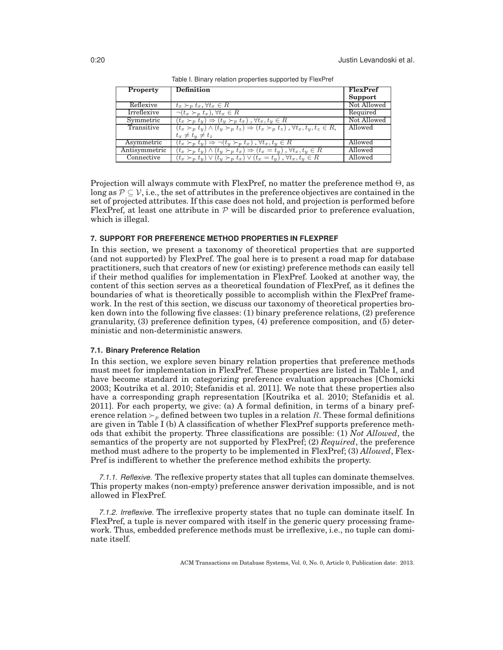| <b>Property</b> | <b>Definition</b>                                                                                            | FlexPref    |
|-----------------|--------------------------------------------------------------------------------------------------------------|-------------|
|                 |                                                                                                              | Support     |
| Reflexive       | $t_x \succ_p t_x, \forall t_x \in R$                                                                         | Not Allowed |
| Irreflexive     | $\neg (t_x \succ_p t_x), \forall t_x \in R$                                                                  | Required    |
| Symmetric       | $(t_x \succ_p t_y) \Rightarrow (t_y \succ_p t_x), \forall t_x, t_y \in R$                                    | Not Allowed |
| Transitive      | $(t_x \succ_p t_y) \wedge (t_y \succ_p t_z) \Rightarrow (t_x \succ_p t_z)$ , $\forall t_x, t_y, t_z \in R$ , | Allowed     |
|                 | $t_x \neq t_y \neq t_z$                                                                                      |             |
| Asymmetric      | $(t_x \succ_p t_y) \Rightarrow \neg (t_y \succ_p t_x)$ , $\forall t_x, t_y \in R$                            | Allowed     |
| Antisymmetric   | $(t_x \succ_p t_y) \wedge (t_y \succ_p t_x) \Rightarrow (t_x = t_y)$ , $\forall t_x, t_y \in R$              | Allowed     |
| Connective      | $(t_x \succ_p t_y) \vee (t_y \succ_p t_x) \vee (t_x = t_y)$ , $\forall t_x, t_y \in R$                       | Allowed     |
|                 |                                                                                                              |             |

Table I. Binary relation properties supported by FlexPref

Projection will always commute with FlexPref, no matter the preference method Θ, as long as  $\mathcal{P} \subset \mathcal{V}$ , i.e., the set of attributes in the preference objectives are contained in the set of projected attributes. If this case does not hold, and projection is performed before FlexPref, at least one attribute in  $P$  will be discarded prior to preference evaluation, which is illegal.

### **7. SUPPORT FOR PREFERENCE METHOD PROPERTIES IN FLEXPREF**

In this section, we present a taxonomy of theoretical properties that are supported (and not supported) by FlexPref. The goal here is to present a road map for database practitioners, such that creators of new (or existing) preference methods can easily tell if their method qualifies for implementation in FlexPref. Looked at another way, the content of this section serves as a theoretical foundation of FlexPref, as it defines the boundaries of what is theoretically possible to accomplish within the FlexPref framework. In the rest of this section, we discuss our taxonomy of theoretical properties broken down into the following five classes: (1) binary preference relations, (2) preference granularity, (3) preference definition types, (4) preference composition, and (5) deterministic and non-deterministic answers.

#### **7.1. Binary Preference Relation**

In this section, we explore seven binary relation properties that preference methods must meet for implementation in FlexPref. These properties are listed in Table I, and have become standard in categorizing preference evaluation approaches [Chomicki 2003; Koutrika et al. 2010; Stefanidis et al. 2011]. We note that these properties also have a corresponding graph representation [Koutrika et al. 2010; Stefanidis et al. 2011]. For each property, we give: (a) A formal definition, in terms of a binary preference relation  $\succ_p$  defined between two tuples in a relation R. These formal definitions are given in Table I (b) A classification of whether FlexPref supports preference methods that exhibit the property. Three classifications are possible: (1) *Not Allowed*, the semantics of the property are not supported by FlexPref; (2) *Required*, the preference method must adhere to the property to be implemented in FlexPref; (3) *Allowed*, Flex-Pref is indifferent to whether the preference method exhibits the property.

7.1.1. Reflexive. The reflexive property states that all tuples can dominate themselves. This property makes (non-empty) preference answer derivation impossible, and is not allowed in FlexPref.

7.1.2. Irreflexive. The irreflexive property states that no tuple can dominate itself. In FlexPref, a tuple is never compared with itself in the generic query processing framework. Thus, embedded preference methods must be irreflexive, i.e., no tuple can dominate itself.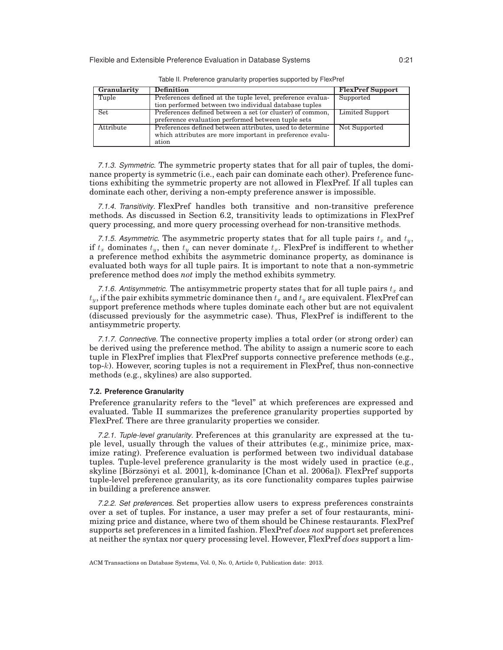| <b>Granularity</b> | <b>Definition</b>                                          | <b>FlexPref Support</b> |
|--------------------|------------------------------------------------------------|-------------------------|
| Tuple              | Preferences defined at the tuple level, preference evalua- | Supported               |
|                    | tion performed between two individual database tuples      |                         |
| <b>Set</b>         | Preferences defined between a set (or cluster) of common,  | Limited Support         |
|                    | preference evaluation performed between tuple sets         |                         |
| Attribute          | Preferences defined between attributes, used to determine  | Not Supported           |
|                    | which attributes are more important in preference evalu-   |                         |
|                    | ation                                                      |                         |

Table II. Preference granularity properties supported by FlexPref

7.1.3. Symmetric. The symmetric property states that for all pair of tuples, the dominance property is symmetric (i.e., each pair can dominate each other). Preference functions exhibiting the symmetric property are not allowed in FlexPref. If all tuples can dominate each other, deriving a non-empty preference answer is impossible.

7.1.4. Transitivity. FlexPref handles both transitive and non-transitive preference methods. As discussed in Section 6.2, transitivity leads to optimizations in FlexPref query processing, and more query processing overhead for non-transitive methods.

7.1.5. Asymmetric. The asymmetric property states that for all tuple pairs  $t_x$  and  $t_y$ , if  $t_x$  dominates  $t_y$ , then  $t_y$  can never dominate  $t_x$ . FlexPref is indifferent to whether a preference method exhibits the asymmetric dominance property, as dominance is evaluated both ways for all tuple pairs. It is important to note that a non-symmetric preference method does *not* imply the method exhibits symmetry.

7.1.6. Antisymmetric. The antisymmetric property states that for all tuple pairs  $t_x$  and  $t_y$ , if the pair exhibits symmetric dominance then  $t_x$  and  $t_y$  are equivalent. FlexPref can support preference methods where tuples dominate each other but are not equivalent (discussed previously for the asymmetric case). Thus, FlexPref is indifferent to the antisymmetric property.

7.1.7. Connective. The connective property implies a total order (or strong order) can be derived using the preference method. The ability to assign a numeric score to each tuple in FlexPref implies that FlexPref supports connective preference methods (e.g., top-k). However, scoring tuples is not a requirement in FlexPref, thus non-connective methods (e.g., skylines) are also supported.

### **7.2. Preference Granularity**

Preference granularity refers to the "level" at which preferences are expressed and evaluated. Table II summarizes the preference granularity properties supported by FlexPref. There are three granularity properties we consider.

7.2.1. Tuple-level granularity. Preferences at this granularity are expressed at the tuple level, usually through the values of their attributes (e.g., minimize price, maximize rating). Preference evaluation is performed between two individual database tuples. Tuple-level preference granularity is the most widely used in practice (e.g., skyline [Börzsönyi et al. 2001], k-dominance [Chan et al. 2006a]). FlexPref supports tuple-level preference granularity, as its core functionality compares tuples pairwise in building a preference answer.

7.2.2. Set preferences. Set properties allow users to express preferences constraints over a set of tuples. For instance, a user may prefer a set of four restaurants, minimizing price and distance, where two of them should be Chinese restaurants. FlexPref supports set preferences in a limited fashion. FlexPref *does not* support set preferences at neither the syntax nor query processing level. However, FlexPref *does* support a lim-

ACM Transactions on Database Systems, Vol. 0, No. 0, Article 0, Publication date: 2013.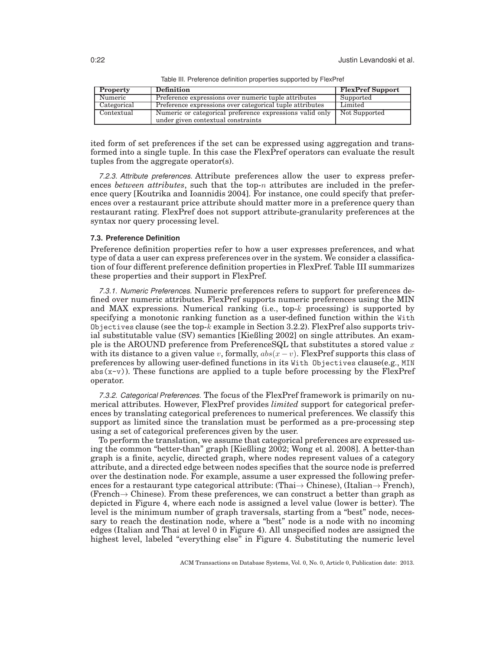| Property    | <b>Definition</b>                                        | <b>FlexPref Support</b> |
|-------------|----------------------------------------------------------|-------------------------|
| Numeric     | Preference expressions over numeric tuple attributes     | Supported               |
| Categorical | Preference expressions over categorical tuple attributes | Limited                 |
| Contextual  | Numeric or categorical preference expressions valid only | Not Supported           |
|             | under given contextual constraints                       |                         |

Table III. Preference definition properties supported by FlexPref

ited form of set preferences if the set can be expressed using aggregation and transformed into a single tuple. In this case the FlexPref operators can evaluate the result tuples from the aggregate operator(s).

7.2.3. Attribute preferences. Attribute preferences allow the user to express preferences *between attributes*, such that the top-n attributes are included in the preference query [Koutrika and Ioannidis 2004]. For instance, one could specify that preferences over a restaurant price attribute should matter more in a preference query than restaurant rating. FlexPref does not support attribute-granularity preferences at the syntax nor query processing level.

#### **7.3. Preference Definition**

Preference definition properties refer to how a user expresses preferences, and what type of data a user can express preferences over in the system. We consider a classification of four different preference definition properties in FlexPref. Table III summarizes these properties and their support in FlexPref.

7.3.1. Numeric Preferences. Numeric preferences refers to support for preferences defined over numeric attributes. FlexPref supports numeric preferences using the MIN and MAX expressions. Numerical ranking (i.e., top- $k$  processing) is supported by specifying a monotonic ranking function as a user-defined function within the With Objectives clause (see the top-k example in Section 3.2.2). FlexPref also supports trivial substitutable value (SV) semantics [Kießling 2002] on single attributes. An example is the AROUND preference from PreferenceSQL that substitutes a stored value  $x$ with its distance to a given value v, formally,  $abs(x - v)$ . FlexPref supports this class of preferences by allowing user-defined functions in its With Objectives clause(e.g., MIN  $abs(x-v)$ . These functions are applied to a tuple before processing by the FlexPref operator.

7.3.2. Categorical Preferences. The focus of the FlexPref framework is primarily on numerical attributes. However, FlexPref provides *limited* support for categorical preferences by translating categorical preferences to numerical preferences. We classify this support as limited since the translation must be performed as a pre-processing step using a set of categorical preferences given by the user.

To perform the translation, we assume that categorical preferences are expressed using the common "better-than" graph [Kießling 2002; Wong et al. 2008]. A better-than graph is a finite, acyclic, directed graph, where nodes represent values of a category attribute, and a directed edge between nodes specifies that the source node is preferred over the destination node. For example, assume a user expressed the following preferences for a restaurant type categorical attribute: (Thai $\rightarrow$  Chinese), (Italian $\rightarrow$  French), (French $\rightarrow$  Chinese). From these preferences, we can construct a better than graph as depicted in Figure 4, where each node is assigned a level value (lower is better). The level is the minimum number of graph traversals, starting from a "best" node, necessary to reach the destination node, where a "best" node is a node with no incoming edges (Italian and Thai at level 0 in Figure 4). All unspecified nodes are assigned the highest level, labeled "everything else" in Figure 4. Substituting the numeric level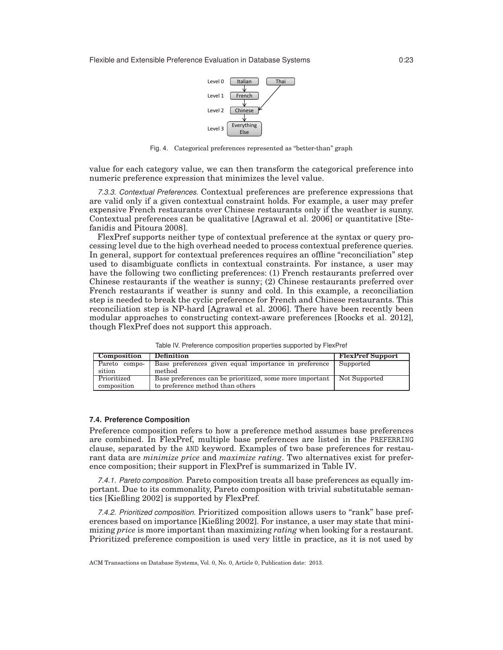

Fig. 4. Categorical preferences represented as "better-than" graph

value for each category value, we can then transform the categorical preference into numeric preference expression that minimizes the level value.

7.3.3. Contextual Preferences. Contextual preferences are preference expressions that are valid only if a given contextual constraint holds. For example, a user may prefer expensive French restaurants over Chinese restaurants only if the weather is sunny. Contextual preferences can be qualitative [Agrawal et al. 2006] or quantitative [Stefanidis and Pitoura 2008].

FlexPref supports neither type of contextual preference at the syntax or query processing level due to the high overhead needed to process contextual preference queries. In general, support for contextual preferences requires an offline "reconciliation" step used to disambiguate conflicts in contextual constraints. For instance, a user may have the following two conflicting preferences: (1) French restaurants preferred over Chinese restaurants if the weather is sunny; (2) Chinese restaurants preferred over French restaurants if weather is sunny and cold. In this example, a reconciliation step is needed to break the cyclic preference for French and Chinese restaurants. This reconciliation step is NP-hard [Agrawal et al. 2006]. There have been recently been modular approaches to constructing context-aware preferences [Roocks et al. 2012], though FlexPref does not support this approach.

| Composition                | <b>Definition</b>                                               | <b>FlexPref Support</b> |
|----------------------------|-----------------------------------------------------------------|-------------------------|
| Pareto<br>compo-<br>sition | Base preferences given equal importance in preference<br>method | Supported               |
| Prioritized                | Base preferences can be prioritized, some more important        | Not Supported           |
| composition                | to preference method than others                                |                         |

Table IV. Preference composition properties supported by FlexPref

#### **7.4. Preference Composition**

Preference composition refers to how a preference method assumes base preferences are combined. In FlexPref, multiple base preferences are listed in the PREFERRING clause, separated by the AND keyword. Examples of two base preferences for restaurant data are *minimize price* and *maximize rating*. Two alternatives exist for preference composition; their support in FlexPref is summarized in Table IV.

7.4.1. Pareto composition. Pareto composition treats all base preferences as equally important. Due to its commonality, Pareto composition with trivial substitutable semantics [Kießling 2002] is supported by FlexPref.

7.4.2. Prioritized composition. Prioritized composition allows users to "rank" base preferences based on importance [Kießling 2002]. For instance, a user may state that minimizing *price* is more important than maximizing *rating* when looking for a restaurant. Prioritized preference composition is used very little in practice, as it is not used by

ACM Transactions on Database Systems, Vol. 0, No. 0, Article 0, Publication date: 2013.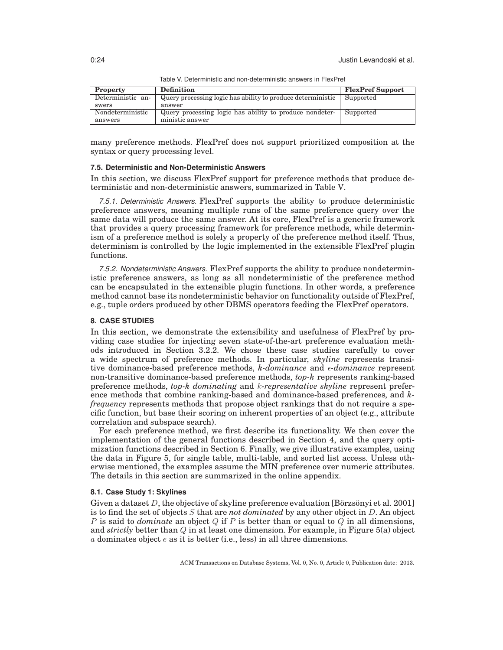| <b>Property</b>   | <b>Definition</b>                                           | <b>FlexPref Support</b> |
|-------------------|-------------------------------------------------------------|-------------------------|
| Deterministic an- | Query processing logic has ability to produce deterministic | Supported               |
| swers             | answer                                                      |                         |
| Nondeterministic  | Query processing logic has ability to produce nondeter-     | Supported               |
| answers           | ministic answer                                             |                         |

Table V. Deterministic and non-deterministic answers in FlexPref

many preference methods. FlexPref does not support prioritized composition at the syntax or query processing level.

#### **7.5. Deterministic and Non-Deterministic Answers**

In this section, we discuss FlexPref support for preference methods that produce deterministic and non-deterministic answers, summarized in Table V.

7.5.1. Deterministic Answers. FlexPref supports the ability to produce deterministic preference answers, meaning multiple runs of the same preference query over the same data will produce the same answer. At its core, FlexPref is a generic framework that provides a query processing framework for preference methods, while determinism of a preference method is solely a property of the preference method itself. Thus, determinism is controlled by the logic implemented in the extensible FlexPref plugin functions.

7.5.2. Nondeterministic Answers. FlexPref supports the ability to produce nondeterministic preference answers, as long as all nondeterministic of the preference method can be encapsulated in the extensible plugin functions. In other words, a preference method cannot base its nondeterministic behavior on functionality outside of FlexPref, e.g., tuple orders produced by other DBMS operators feeding the FlexPref operators.

### **8. CASE STUDIES**

In this section, we demonstrate the extensibility and usefulness of FlexPref by providing case studies for injecting seven state-of-the-art preference evaluation methods introduced in Section 3.2.2. We chose these case studies carefully to cover a wide spectrum of preference methods. In particular, *skyline* represents transitive dominance-based preference methods, *k-dominance* and  $\epsilon$ -*dominance* represent non-transitive dominance-based preference methods, *top-k* represents ranking-based preference methods, *top-k dominating* and k*-representative skyline* represent preference methods that combine ranking-based and dominance-based preferences, and *kfrequency* represents methods that propose object rankings that do not require a specific function, but base their scoring on inherent properties of an object (e.g., attribute correlation and subspace search).

For each preference method, we first describe its functionality. We then cover the implementation of the general functions described in Section 4, and the query optimization functions described in Section 6. Finally, we give illustrative examples, using the data in Figure 5, for single table, multi-table, and sorted list access. Unless otherwise mentioned, the examples assume the MIN preference over numeric attributes. The details in this section are summarized in the online appendix.

#### **8.1. Case Study 1: Skylines**

Given a dataset D, the objective of skyline preference evaluation [Börzsönyi et al. 2001] is to find the set of objects S that are *not dominated* by any other object in D. An object  $P$  is said to *dominate* an object  $Q$  if  $P$  is better than or equal to  $Q$  in all dimensions, and *strictly* better than Q in at least one dimension. For example, in Figure 5(a) object a dominates object  $e$  as it is better (i.e., less) in all three dimensions.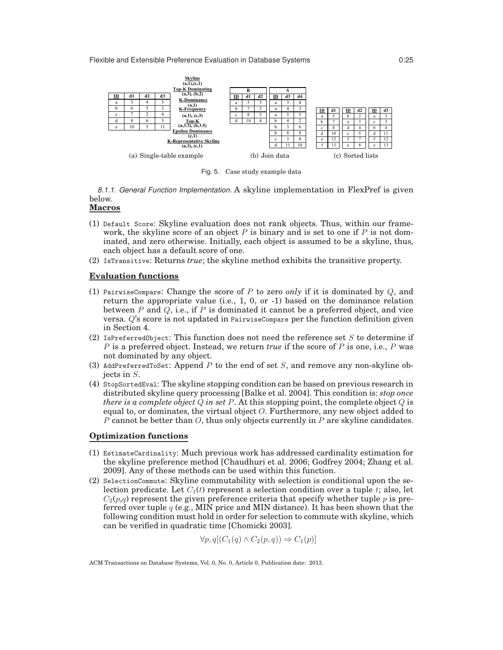

Fig. 5. Case study example data

8.1.1. General Function Implementation. A skyline implementation in FlexPref is given below.

# **Macros**

- (1) Default Score: Skyline evaluation does not rank objects. Thus, within our framework, the skyline score of an object  $P$  is binary and is set to one if  $P$  is not dominated, and zero otherwise. Initially, each object is assumed to be a skyline, thus, each object has a default score of one.
- (2) IsTransitive: Returns *true*; the skyline method exhibits the transitive property.

# **Evaluation functions**

- (1) PairwiseCompare: Change the score of P to zero *only* if it is dominated by Q, and return the appropriate value (i.e., 1, 0, or -1) based on the dominance relation between P and Q, i.e., if P is dominated it cannot be a preferred object, and vice versa. Q's score is not updated in PairwiseCompare per the function definition given in Section 4.
- (2) IsPreferredObject: This function does not need the reference set S to determine if P is a preferred object. Instead, we return *true* if the score of P is one, i.e., P was not dominated by any object.
- (3) AddPreferredToSet: Append  $P$  to the end of set  $S$ , and remove any non-skyline objects in S.
- (4) StopSortedEval: The skyline stopping condition can be based on previous research in distributed skyline query processing [Balke et al. 2004]. This condition is: *stop once there is a complete object* Q *in set* P. At this stopping point, the complete object Q is equal to, or dominates, the virtual object O. Furthermore, any new object added to P cannot be better than  $O$ , thus only objects currently in P are skyline candidates.

## **Optimization functions**

- (1) EstimateCardinality: Much previous work has addressed cardinality estimation for the skyline preference method [Chaudhuri et al. 2006; Godfrey 2004; Zhang et al. 2009]. Any of these methods can be used within this function.
- (2) SelectionCommute: Skyline commutability with selection is conditional upon the selection predicate. Let  $C_1(t)$  represent a selection condition over a tuple t; also, let  $C_2(p,q)$  represent the given preference criteria that specify whether tuple p is preferred over tuple  $q$  (e.g., MIN price and MIN distance). It has been shown that the following condition must hold in order for selection to commute with skyline, which can be verified in quadratic time [Chomicki 2003].

$$
\forall p, q[(C_1(q) \land C_2(p,q)) \Rightarrow C_1(p)]
$$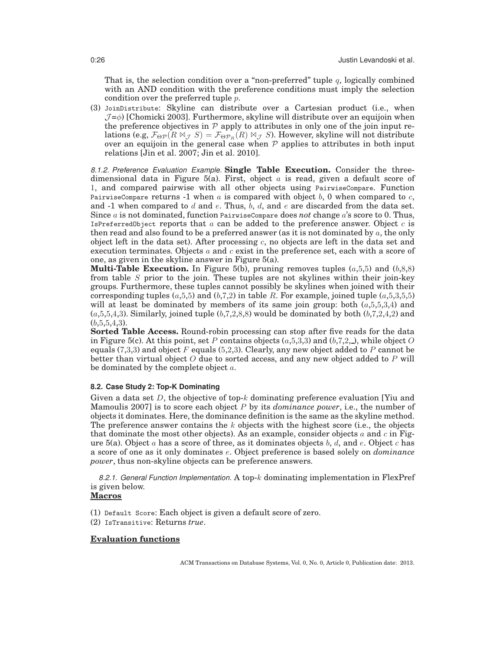That is, the selection condition over a "non-preferred" tuple  $q$ , logically combined with an AND condition with the preference conditions must imply the selection condition over the preferred tuple  $p$ .

(3) JoinDistribute: Skyline can distribute over a Cartesian product (i.e., when  $J = \phi$ ) [Chomicki 2003]. Furthermore, skyline will distribute over an equijoin when the preference objectives in  $P$  apply to attributes in only one of the join input relations (e.g,  $\mathcal{F}_{\Theta\mathcal{P}}(R \Join_{\mathcal{J}} S) = \mathcal{F}_{\Theta\mathcal{P}_R}(R) \Join_{\mathcal{J}} S$ ). However, skyline will not distribute over an equijoin in the general case when  $P$  applies to attributes in both input relations [Jin et al. 2007; Jin et al. 2010].

8.1.2. Preference Evaluation Example. **Single Table Execution.** Consider the threedimensional data in Figure 5(a). First, object  $a$  is read, given a default score of 1, and compared pairwise with all other objects using PairwiseCompare. Function PairwiseCompare returns -1 when a is compared with object b, 0 when compared to c, and -1 when compared to d and e. Thus, b, d, and e are discarded from the data set. Since a is not dominated, function PairwiseCompare does *not* change a's score to 0. Thus, IsPreferredObject reports that  $a$  can be added to the preference answer. Object  $c$  is then read and also found to be a preferred answer (as it is not dominated by  $a$ , the only object left in the data set). After processing  $c$ , no objects are left in the data set and execution terminates. Objects a and c exist in the preference set, each with a score of one, as given in the skyline answer in Figure 5(a).

**Multi-Table Execution.** In Figure 5(b), pruning removes tuples  $(a,5,5)$  and  $(b,8,8)$ from table  $S$  prior to the join. These tuples are not skylines within their join-key groups. Furthermore, these tuples cannot possibly be skylines when joined with their corresponding tuples  $(a,5,5)$  and  $(b,7,2)$  in table R. For example, joined tuple  $(a,5,3,5,5)$ will at least be dominated by members of its same join group: both  $(a,5,5,3,4)$  and  $(a,5,5,4,3)$ . Similarly, joined tuple  $(b,7,2,8,8)$  would be dominated by both  $(b,7,2,4,2)$  and  $(b.5.5.4.3).$ 

**Sorted Table Access.** Round-robin processing can stop after five reads for the data in Figure 5(c). At this point, set P contains objects  $(a,5,3,3)$  and  $(b,7,2,.)$ , while object O equals (7,3,3) and object F equals (5,2,3). Clearly, any new object added to P cannot be better than virtual object  $O$  due to sorted access, and any new object added to  $P$  will be dominated by the complete object a.

### **8.2. Case Study 2: Top-K Dominating**

Given a data set  $D$ , the objective of top-k dominating preference evaluation [Yiu and Mamoulis 2007] is to score each object P by its *dominance power*, i.e., the number of objects it dominates. Here, the dominance definition is the same as the skyline method. The preference answer contains the  $k$  objects with the highest score (i.e., the objects that dominate the most other objects). As an example, consider objects a and  $c$  in Figure 5(a). Object a has a score of three, as it dominates objects b, d, and e. Object c has a score of one as it only dominates e. Object preference is based solely on *dominance power*, thus non-skyline objects can be preference answers.

8.2.1. General Function Implementation. A top- $k$  dominating implementation in FlexPref is given below.

# **Macros**

(1) Default Score: Each object is given a default score of zero.

(2) IsTransitive: Returns *true*.

# **Evaluation functions**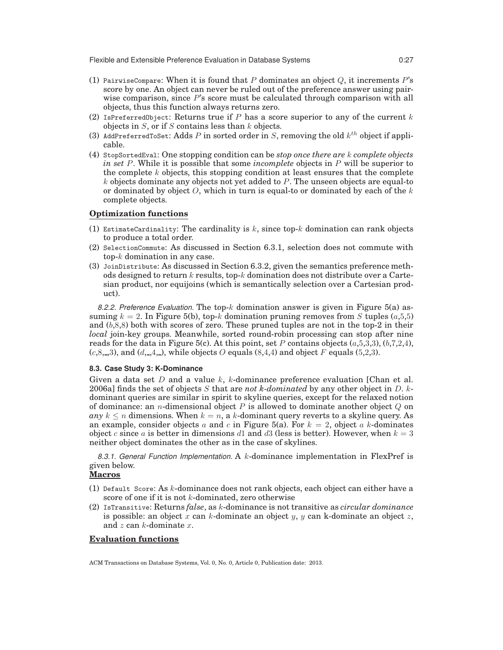- (1) PairwiseCompare: When it is found that P dominates an object  $Q$ , it increments P's score by one. An object can never be ruled out of the preference answer using pairwise comparison, since  $P$ 's score must be calculated through comparison with all objects, thus this function always returns zero.
- (2) IsPreferredObject: Returns true if P has a score superior to any of the current  $k$ objects in  $S$ , or if  $S$  contains less than  $k$  objects.
- (3) AddPreferredToSet: Adds  $P$  in sorted order in  $S$ , removing the old  $k^{th}$  object if applicable.
- (4) StopSortedEval: One stopping condition can be *stop once there are* k *complete objects in set* P. While it is possible that some *incomplete* objects in P will be superior to the complete  $k$  objects, this stopping condition at least ensures that the complete k objects dominate any objects not yet added to  $P$ . The unseen objects are equal-to or dominated by object O, which in turn is equal-to or dominated by each of the  $k$ complete objects.

# **Optimization functions**

- (1) EstimateCardinality: The cardinality is k, since top-k domination can rank objects to produce a total order.
- (2) SelectionCommute: As discussed in Section 6.3.1, selection does not commute with top-k domination in any case.
- (3) JoinDistribute: As discussed in Section 6.3.2, given the semantics preference methods designed to return  $k$  results, top- $k$  domination does not distribute over a Cartesian product, nor equijoins (which is semantically selection over a Cartesian product).

8.2.2. Preference Evaluation. The top- $k$  domination answer is given in Figure 5(a) assuming  $k = 2$ . In Figure 5(b), top-k domination pruning removes from S tuples (a,5,5) and  $(b,8,8)$  both with scores of zero. These pruned tuples are not in the top-2 in their *local* join-key groups. Meanwhile, sorted round-robin processing can stop after nine reads for the data in Figure 5(c). At this point, set P contains objects  $(a,5,3,3)$ ,  $(b,7,2,4)$ ,  $(c, 8, 3)$ , and  $(d, 4, 4)$ , while objects O equals  $(8, 4, 4)$  and object F equals  $(5, 2, 3)$ .

### **8.3. Case Study 3: K-Dominance**

Given a data set  $D$  and a value  $k$ ,  $k$ -dominance preference evaluation [Chan et al. 2006a] finds the set of objects S that are *not k-dominated* by any other object in D. kdominant queries are similar in spirit to skyline queries, except for the relaxed notion of dominance: an *n*-dimensional object  $P$  is allowed to dominate another object  $Q$  on *any*  $k \leq n$  dimensions. When  $k = n$ , a k-dominant query reverts to a skyline query. As an example, consider objects a and c in Figure 5(a). For  $k = 2$ , object a k-dominates object c since a is better in dimensions d1 and d3 (less is better). However, when  $k = 3$ neither object dominates the other as in the case of skylines.

8.3.1. General Function Implementation. A  $k$ -dominance implementation in FlexPref is given below.

# **Macros**

- (1) Default Score: As k-dominance does not rank objects, each object can either have a score of one if it is not k-dominated, zero otherwise
- (2) IsTransitive: Returns *false*, as k-dominance is not transitive as *circular dominance* is possible: an object x can k-dominate an object y, y can k-dominate an object z, and  $z$  can  $k$ -dominate  $x$ .

### **Evaluation functions**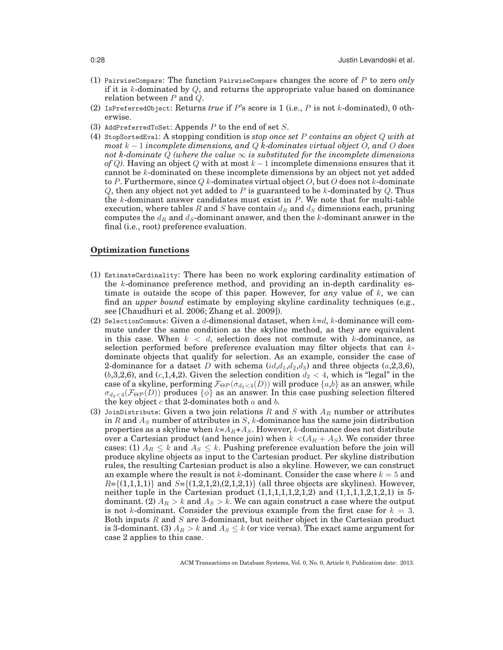- (1) PairwiseCompare: The function PairwiseCompare changes the score of P to zero *only* if it is  $k$ -dominated by  $Q$ , and returns the appropriate value based on dominance relation between P and Q.
- (2) IsPreferredObject: Returns *true* if P's score is 1 (i.e., P is not k-dominated), 0 otherwise.
- (3) AddPreferredToSet: Appends P to the end of set S.
- (4) StopSortedEval: A stopping condition is *stop once set* P *contains an object* Q *with at most* k − 1 *incomplete dimensions, and* Q *k-dominates virtual object* O*, and* O *does not k-dominate*  $Q$  *(where the value*  $\infty$  *is substituted for the incomplete dimensions of*  $Q$ *)*. Having an object  $Q$  with at most  $k - 1$  incomplete dimensions ensures that it cannot be k-dominated on these incomplete dimensions by an object not yet added to P. Furthermore, since Q k-dominates virtual object O, but O does not k-dominate  $Q$ , then any object not yet added to P is guaranteed to be k-dominated by  $Q$ . Thus the  $k$ -dominant answer candidates must exist in  $P$ . We note that for multi-table execution, where tables R and S have contain  $d_R$  and  $d_S$  dimensions each, pruning computes the  $d_R$  and  $d_S$ -dominant answer, and then the k-dominant answer in the final (i.e., root) preference evaluation.

#### **Optimization functions**

- (1) EstimateCardinality: There has been no work exploring cardinality estimation of the k-dominance preference method, and providing an in-depth cardinality estimate is outside the scope of this paper. However, for *any* value of k, we can find an *upper bound* estimate by employing skyline cardinality techniques (e.g., see [Chaudhuri et al. 2006; Zhang et al. 2009]).
- (2) SelectionCommute: Given a d-dimensional dataset, when  $k=d$ , k-dominance will commute under the same condition as the skyline method, as they are equivalent in this case. When  $k < d$ , selection does not commute with k-dominance, as selection performed before preference evaluation may filter objects that can kdominate objects that qualify for selection. As an example, consider the case of 2-dominance for a datset D with schema  $(id, d_1, d_2, d_3)$  and three objects  $(a, 2, 3, 6)$ ,  $(b,3,2,6)$ , and  $(c,1,4,2)$ . Given the selection condition  $d_2 < 4$ , which is "legal" in the case of a skyline, performing  $\mathcal{F}_{\Theta\mathcal{P}}(\sigma_{d_2<4}(D))$  will produce  $\{a,b\}$  as an answer, while  $\sigma_{d_2 \leq 4}(\mathcal{F}_{\Theta}(\mathcal{D}))$  produces  $\{\phi\}$  as an answer. In this case pushing selection filtered the key object  $c$  that 2-dominates both  $a$  and  $b$ .
- (3) JoinDistribute: Given a two join relations R and S with  $A_R$  number or attributes in R and  $A<sub>S</sub>$  number of attributes in S, k-dominance has the same join distribution properties as a skyline when  $k=A_R+A_S$ . However, k-dominance does not distribute over a Cartesian product (and hence join) when  $k \leq (A_R + A_S)$ . We consider three cases: (1)  $A_R \leq k$  and  $A_S \leq k$ . Pushing preference evaluation before the join will produce skyline objects as input to the Cartesian product. Per skyline distribution rules, the resulting Cartesian product is also a skyline. However, we can construct an example where the result is not k-dominant. Consider the case where  $k = 5$  and  $R = \{(1,1,1,1)\}$  and  $S = \{(1,2,1,2), (2,1,2,1)\}$  (all three objects are skylines). However, neither tuple in the Cartesian product  $(1,1,1,1,1,2,1,2)$  and  $(1,1,1,1,2,1,2,1)$  is 5dominant. (2)  $A_R > k$  and  $A_S > k$ . We can again construct a case where the output is not k-dominant. Consider the previous example from the first case for  $k = 3$ . Both inputs  $R$  and  $S$  are 3-dominant, but neither object in the Cartesian product is 3-dominant. (3)  $A_R > k$  and  $A_S \leq k$  (or vice versa). The exact same argument for case 2 applies to this case.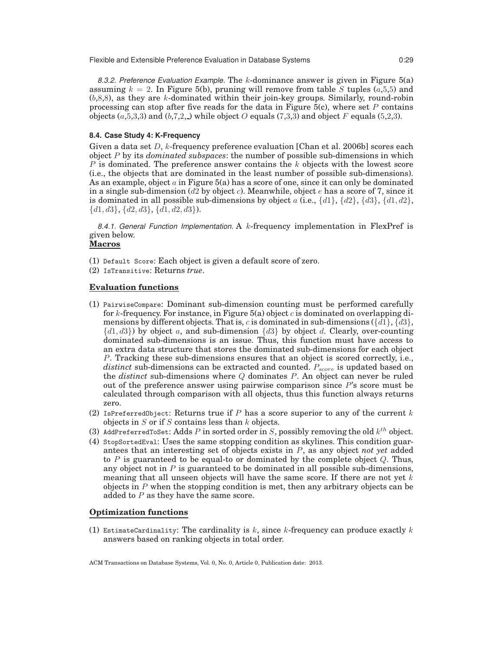8.3.2. Preference Evaluation Example. The k-dominance answer is given in Figure 5(a) assuming  $k = 2$ . In Figure 5(b), pruning will remove from table S tuples (a,5,5) and  $(b,8,8)$ , as they are k-dominated within their join-key groups. Similarly, round-robin processing can stop after five reads for the data in Figure  $5(c)$ , where set P contains objects  $(a,5,3,3)$  and  $(b,7,2)$ , while object O equals (7,3,3) and object F equals (5,2,3).

## **8.4. Case Study 4: K-Frequency**

Given a data set D, k-frequency preference evaluation [Chan et al. 2006b] scores each object P by its *dominated subspaces*: the number of possible sub-dimensions in which P is dominated. The preference answer contains the  $k$  objects with the lowest score (i.e., the objects that are dominated in the least number of possible sub-dimensions). As an example, object  $a$  in Figure 5(a) has a score of one, since it can only be dominated in a single sub-dimension (d2 by object c). Meanwhile, object  $e$  has a score of 7, since it is dominated in all possible sub-dimensions by object a (i.e.,  $\{d1\}$ ,  $\{d2\}$ ,  $\{d3\}$ ,  $\{d1, d2\}$ ,  $\{d1, d3\}, \{d2, d3\}, \{d1, d2, d3\}.$ 

8.4.1. General Function Implementation. A  $k$ -frequency implementation in FlexPref is given below.

# **Macros**

- (1) Default Score: Each object is given a default score of zero.
- (2) IsTransitive: Returns *true*.

### **Evaluation functions**

- (1) PairwiseCompare: Dominant sub-dimension counting must be performed carefully for k-frequency. For instance, in Figure 5(a) object c is dominated on overlapping dimensions by different objects. That is, c is dominated in sub-dimensions ( $\{d1\}$ ,  $\{d3\}$ ,  $\{d1, d3\}$  by object a, and sub-dimension  $\{d3\}$  by object d. Clearly, over-counting dominated sub-dimensions is an issue. Thus, this function must have access to an extra data structure that stores the dominated sub-dimensions for each object P. Tracking these sub-dimensions ensures that an object is scored correctly, i.e., *distinct* sub-dimensions can be extracted and counted.  $P_{score}$  is updated based on the *distinct* sub-dimensions where Q dominates P. An object can never be ruled out of the preference answer using pairwise comparison since  $P$ 's score must be calculated through comparison with all objects, thus this function always returns zero.
- (2) IsPreferredObject: Returns true if P has a score superior to any of the current  $k$ objects in  $S$  or if  $S$  contains less than  $k$  objects.
- (3) AddPreferredToSet: Adds  $P$  in sorted order in  $S$ , possibly removing the old  $k^{th}$  object.
- (4) StopSortedEval: Uses the same stopping condition as skylines. This condition guarantees that an interesting set of objects exists in P, as any object *not yet* added to  $P$  is guaranteed to be equal-to or dominated by the complete object  $Q$ . Thus, any object not in  $P$  is guaranteed to be dominated in all possible sub-dimensions, meaning that all unseen objects will have the same score. If there are not yet  $k$ objects in  $P$  when the stopping condition is met, then any arbitrary objects can be added to  $P$  as they have the same score.

# **Optimization functions**

(1) EstimateCardinality: The cardinality is k, since k-frequency can produce exactly k answers based on ranking objects in total order.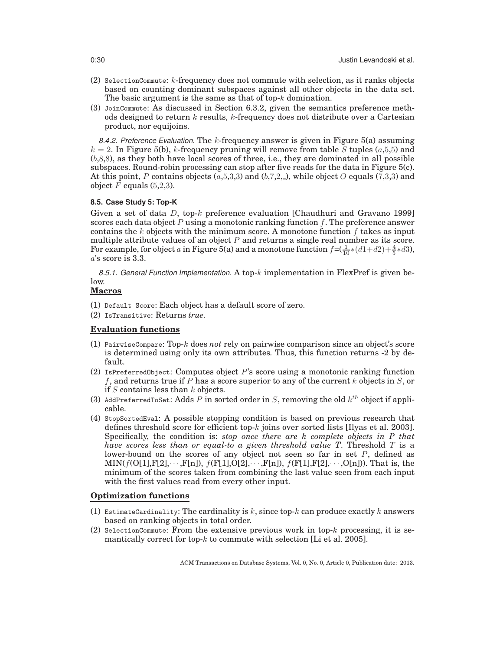- (2) SelectionCommute: k-frequency does not commute with selection, as it ranks objects based on counting dominant subspaces against all other objects in the data set. The basic argument is the same as that of top-k domination.
- (3) JoinCommute: As discussed in Section 6.3.2, given the semantics preference methods designed to return  $k$  results,  $k$ -frequency does not distribute over a Cartesian product, nor equijoins.

8.4.2. Preference Evaluation. The  $k$ -frequency answer is given in Figure 5(a) assuming  $k = 2$ . In Figure 5(b), k-frequency pruning will remove from table S tuples (a,5,5) and  $(b,8,8)$ , as they both have local scores of three, i.e., they are dominated in all possible subspaces. Round-robin processing can stop after five reads for the data in Figure 5(c). At this point, P contains objects  $(a,5,3,3)$  and  $(b,7,2,.)$ , while object O equals (7,3,3) and object  $F$  equals (5,2,3).

# **8.5. Case Study 5: Top-K**

Given a set of data  $D$ , top-k preference evaluation [Chaudhuri and Gravano 1999] scores each data object P using a monotonic ranking function f. The preference answer contains the k objects with the minimum score. A monotone function  $f$  takes as input multiple attribute values of an object  $P$  and returns a single real number as its score. For example, for object a in Figure 5(a) and a monotone function  $f = (\frac{1}{10} * (d1 + d2) + \frac{4}{5} * d3)$ ,  $a$ 's score is 3.3.

8.5.1. General Function Implementation. A top-k implementation in FlexPref is given below.

# **Macros**

- (1) Default Score: Each object has a default score of zero.
- (2) IsTransitive: Returns *true*.

### **Evaluation functions**

- (1) PairwiseCompare: Top-k does *not* rely on pairwise comparison since an object's score is determined using only its own attributes. Thus, this function returns -2 by default.
- (2) IsPreferredObject: Computes object  $P$ 's score using a monotonic ranking function f, and returns true if P has a score superior to any of the current k objects in S, or if  $S$  contains less than  $k$  objects.
- (3) AddPreferredToSet: Adds  $P$  in sorted order in  $S$ , removing the old  $k^{th}$  object if applicable.
- (4) StopSortedEval: A possible stopping condition is based on previous research that defines threshold score for efficient top-k joins over sorted lists [Ilyas et al. 2003]. Specifically, the condition is: *stop once there are k complete objects in P that have scores less than or equal-to a given threshold value T*. Threshold T is a lower-bound on the scores of any object not seen so far in set P, defined as MIN $(f(O[1], F[2], \cdots, F[n]), f(F[1], O[2], \cdots, F[n]), f(F[1], F[2], \cdots, O[n])$ ). That is, the minimum of the scores taken from combining the last value seen from each input with the first values read from every other input.

#### **Optimization functions**

- (1) EstimateCardinality: The cardinality is k, since top-k can produce exactly k answers based on ranking objects in total order.
- (2) SelectionCommute: From the extensive previous work in top- $k$  processing, it is semantically correct for top-k to commute with selection [Li et al. 2005].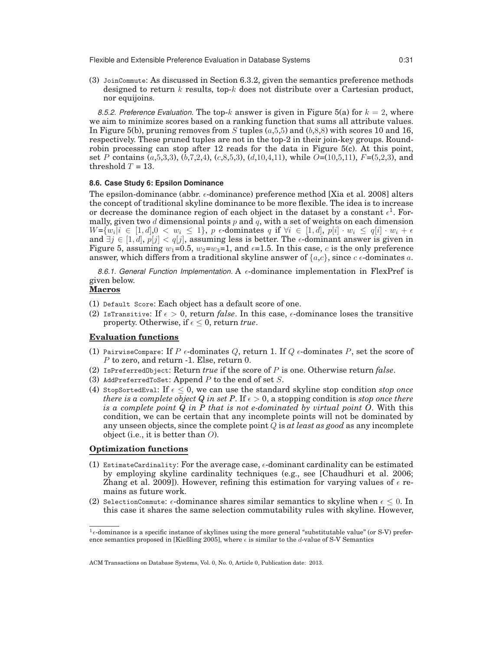(3) JoinCommute: As discussed in Section 6.3.2, given the semantics preference methods designed to return  $k$  results, top- $k$  does not distribute over a Cartesian product, nor equijoins.

8.5.2. Preference Evaluation. The top-k answer is given in Figure 5(a) for  $k = 2$ , where we aim to minimize scores based on a ranking function that sums all attribute values. In Figure 5(b), pruning removes from  $S$  tuples  $(a,5,5)$  and  $(b,8,8)$  with scores 10 and 16, respectively. These pruned tuples are not in the top-2 in their join-key groups. Roundrobin processing can stop after 12 reads for the data in Figure 5(c). At this point, set P contains  $(a,5,3,3), (b,7,2,4), (c,8,5,3), (d,10,4,11),$  while  $O=(10,5,11), F=(5,2,3),$  and threshold  $T = 13$ .

#### **8.6. Case Study 6: Epsilon Dominance**

The epsilon-dominance (abbr.  $\epsilon$ -dominance) preference method [Xia et al. 2008] alters the concept of traditional skyline dominance to be more flexible. The idea is to increase or decrease the dominance region of each object in the dataset by a constant  $\epsilon^1$ . Formally, given two  $d$  dimensional points  $p$  and  $q$ , with a set of weights on each dimension  $W {=} \{ w_i | i \: \in \: [1, d], 0 \: < \: w_i \: \le \: 1 \}, \ p \: \epsilon \text{-dominates} \; q \: \text{ if } \: \forall i \: \in \: [1, d], \: p[i] \cdot w_i \: \le \: q[i] \cdot w_i \: + \, \epsilon$ and  $\exists j \in [1, d], p[j] < q[j]$ , assuming less is better. The  $\epsilon$ -dominant answer is given in Figure 5, assuming  $w_1=0.5$ ,  $w_2=w_3=1$ , and  $\epsilon=1.5$ . In this case, c is the only preference answer, which differs from a traditional skyline answer of  ${a,c}$ , since c  $\epsilon$ -dominates a.

8.6.1. General Function Implementation. A  $\epsilon$ -dominance implementation in FlexPref is given below.

# **Macros**

- (1) Default Score: Each object has a default score of one.
- (2) IsTransitive: If  $\epsilon > 0$ , return *false*. In this case,  $\epsilon$ -dominance loses the transitive property. Otherwise, if  $\epsilon \leq 0$ , return *true*.

# **Evaluation functions**

- (1) PairwiseCompare: If P  $\epsilon$ -dominates Q, return 1. If Q  $\epsilon$ -dominates P, set the score of P to zero, and return -1. Else, return 0.
- (2) IsPreferredObject: Return *true* if the score of P is one. Otherwise return *false*.
- (3) AddPreferredToSet: Append  $P$  to the end of set  $S$ .
- (4) StopSortedEval: If  $\epsilon \leq 0$ , we can use the standard skyline stop condition *stop once there is a complete object Q in set P.* If  $\epsilon > 0$ , a stopping condition is *stop once there is a complete point Q in P that is not e-dominated by virtual point O*. With this condition, we can be certain that any incomplete points will not be dominated by any unseen objects, since the complete point Q is *at least as good* as any incomplete object (i.e., it is better than O).

## **Optimization functions**

- (1) EstimateCardinality: For the average case,  $\epsilon$ -dominant cardinality can be estimated by employing skyline cardinality techniques (e.g., see [Chaudhuri et al. 2006; Zhang et al. 2009]). However, refining this estimation for varying values of  $\epsilon$  remains as future work.
- (2) SelectionCommute:  $\epsilon$ -dominance shares similar semantics to skyline when  $\epsilon \leq 0$ . In this case it shares the same selection commutability rules with skyline. However,

<sup>&</sup>lt;sup>1</sup><sub>c</sub>-dominance is a specific instance of skylines using the more general "substitutable value" (or S-V) preference semantics proposed in [Kießling 2005], where  $\epsilon$  is similar to the d-value of S-V Semantics

ACM Transactions on Database Systems, Vol. 0, No. 0, Article 0, Publication date: 2013.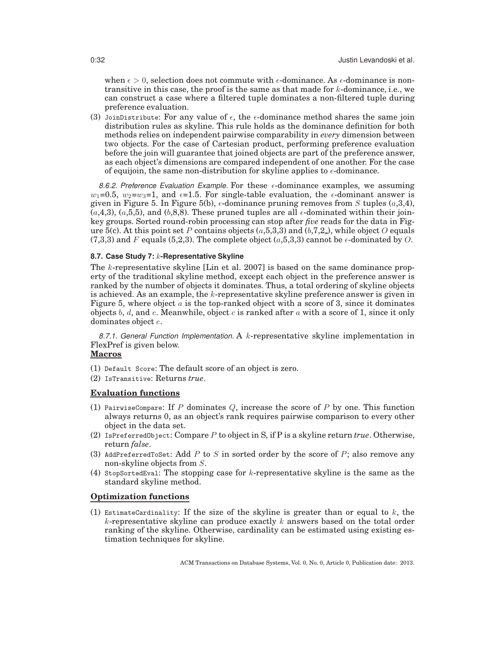when  $\epsilon > 0$ , selection does not commute with  $\epsilon$ -dominance. As  $\epsilon$ -dominance is nontransitive in this case, the proof is the same as that made for  $k$ -dominance, i.e., we can construct a case where a filtered tuple dominates a non-filtered tuple during preference evaluation.

(3) JoinDistribute: For any value of  $\epsilon$ , the  $\epsilon$ -dominance method shares the same join distribution rules as skyline. This rule holds as the dominance definition for both methods relies on independent pairwise comparability in *every* dimension between two objects. For the case of Cartesian product, performing preference evaluation before the join will guarantee that joined objects are part of the preference answer, as each object's dimensions are compared independent of one another. For the case of equijoin, the same non-distribution for skyline applies to  $\epsilon$ -dominance.

8.6.2. Preference Evaluation Example. For these  $\epsilon$ -dominance examples, we assuming  $w_1=0.5$ ,  $w_2=w_3=1$ , and  $\epsilon=1.5$ . For single-table evaluation, the  $\epsilon$ -dominant answer is given in Figure 5. In Figure 5(b),  $\epsilon$ -dominance pruning removes from S tuples  $(a,3,4)$ ,  $(a,4,3), (a,5,5),$  and  $(b,8,8)$ . These pruned tuples are all  $\epsilon$ -dominated within their joinkey groups. Sorted round-robin processing can stop after *five* reads for the data in Figure 5(c). At this point set P contains objects  $(a,5,3,3)$  and  $(b,7,2)$ , while object O equals (7,3,3) and F equals (5,2,3). The complete object ( $a,5,3,3$ ) cannot be  $\epsilon$ -dominated by O.

# **8.7. Case Study 7:** k**-Representative Skyline**

The  $k$ -representative skyline [Lin et al. 2007] is based on the same dominance property of the traditional skyline method, except each object in the preference answer is ranked by the number of objects it dominates. Thus, a total ordering of skyline objects is achieved. As an example, the k-representative skyline preference answer is given in Figure 5, where object a is the top-ranked object with a score of 3, since it dominates objects b, d, and e. Meanwhile, object c is ranked after a with a score of 1, since it only dominates object e.

8.7.1. General Function Implementation. A k-representative skyline implementation in FlexPref is given below.

# **Macros**

- (1) Default Score: The default score of an object is zero.
- (2) IsTransitive: Returns *true*.

# **Evaluation functions**

- (1) PairwiseCompare: If P dominates Q, increase the score of P by one. This function always returns 0, as an object's rank requires pairwise comparison to every other object in the data set.
- (2) IsPreferredObject: Compare P to object in S, if P is a skyline return *true*. Otherwise, return *false*.
- (3) AddPreferredToSet: Add  $P$  to  $S$  in sorted order by the score of  $P$ ; also remove any non-skyline objects from S.
- (4) StopSortedEval: The stopping case for  $k$ -representative skyline is the same as the standard skyline method.

## **Optimization functions**

(1) EstimateCardinality: If the size of the skyline is greater than or equal to  $k$ , the k-representative skyline can produce exactly  $k$  answers based on the total order ranking of the skyline. Otherwise, cardinality can be estimated using existing estimation techniques for skyline.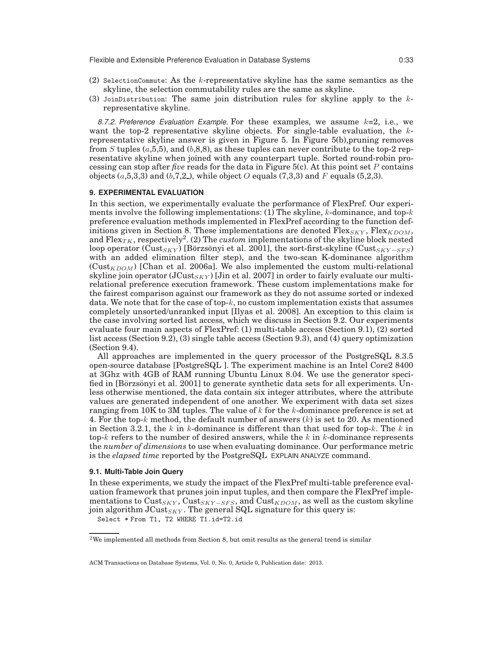- (2) SelectionCommute: As the  $k$ -representative skyline has the same semantics as the skyline, the selection commutability rules are the same as skyline.
- (3) JoinDistribution: The same join distribution rules for skyline apply to the  $k$ representative skyline.

8.7.2. Preference Evaluation Example. For these examples, we assume  $k=2$ , i.e., we want the top-2 representative skyline objects. For single-table evaluation, the  $k$ representative skyline answer is given in Figure 5. In Figure 5(b),pruning removes from S tuples  $(a,5,5)$ , and  $(b,8,8)$ , as these tuples can never contribute to the top-2 representative skyline when joined with any counterpart tuple. Sorted round-robin processing can stop after *five* reads for the data in Figure 5(c). At this point set P contains objects  $(a,5,3,3)$  and  $(b,7,2)$ , while object O equals (7,3,3) and F equals (5,2,3).

# **9. EXPERIMENTAL EVALUATION**

In this section, we experimentally evaluate the performance of FlexPref. Our experiments involve the following implementations: (1) The skyline,  $k$ -dominance, and top- $k$ preference evaluation methods implemented in FlexPref according to the function definitions given in Section 8. These implementations are denoted  $\text{Flex}_{SKY}$ ,  $\text{Flex}_{KDOM}$ , and  $\text{Flex}_{TK}$ , respectively<sup>2</sup>. (2) The *custom* implementations of the skyline block nested loop operator (Cust<sub>SKY</sub>) [Börzsönyi et al. 2001], the sort-first-skyline (Cust<sub>SKY −SFS</sub>) with an added elimination filter step), and the two-scan K-dominance algorithm  $(Cust_{KDOM})$  [Chan et al. 2006a]. We also implemented the custom multi-relational skyline join operator ( $JClust_{SKY}$ ) [Jin et al. 2007] in order to fairly evaluate our multirelational preference execution framework. These custom implementations make for the fairest comparison against our framework as they do not assume sorted or indexed data. We note that for the case of top- $k$ , no custom implementation exists that assumes completely unsorted/unranked input [Ilyas et al. 2008]. An exception to this claim is the case involving sorted list access, which we discuss in Section 9.2. Our experiments evaluate four main aspects of FlexPref: (1) multi-table access (Section 9.1), (2) sorted list access (Section 9.2), (3) single table access (Section 9.3), and (4) query optimization (Section 9.4).

All approaches are implemented in the query processor of the PostgreSQL 8.3.5 open-source database [PostgreSQL ]. The experiment machine is an Intel Core2 8400 at 3Ghz with 4GB of RAM running Ubuntu Linux 8.04. We use the generator specified in [Börzsönyi et al. 2001] to generate synthetic data sets for all experiments. Unless otherwise mentioned, the data contain six integer attributes, where the attribute values are generated independent of one another. We experiment with data set sizes ranging from 10K to 3M tuples. The value of  $k$  for the  $k$ -dominance preference is set at 4. For the top- $k$  method, the default number of answers  $(k)$  is set to 20. As mentioned in Section 3.2.1, the k in k-dominance is different than that used for top-k. The k in top-k refers to the number of desired answers, while the  $k$  in  $k$ -dominance represents the *number of dimensions* to use when evaluating dominance. Our performance metric is the *elapsed time* reported by the PostgreSQL EXPLAIN ANALYZE command.

#### **9.1. Multi-Table Join Query**

In these experiments, we study the impact of the FlexPref multi-table preference evaluation framework that prunes join input tuples, and then compare the FlexPref implementations to Cust<sub>SKY</sub>, Cust<sub>SKY–SFS</sub>, and Cust<sub>KDOM</sub>, as well as the custom skyline join algorithm  $JCust_{SKY}$ . The general SQL signature for this query is:

Select \* From T1, T2 WHERE T1.id=T2.id

<sup>&</sup>lt;sup>2</sup>We implemented all methods from Section 8, but omit results as the general trend is similar

ACM Transactions on Database Systems, Vol. 0, No. 0, Article 0, Publication date: 2013.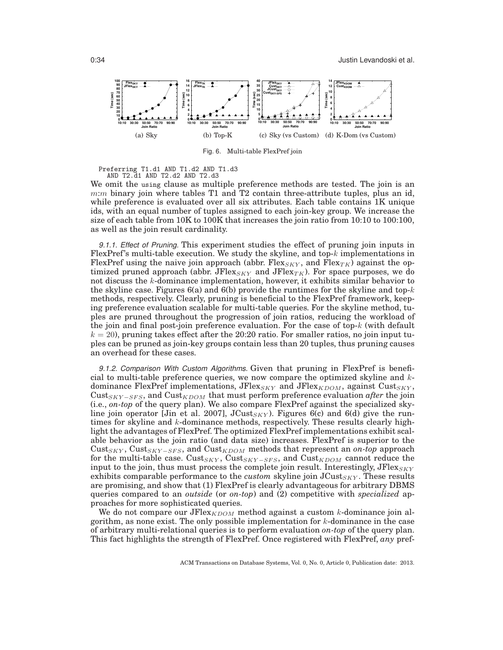

Fig. 6. Multi-table FlexPref join

Preferring T1.d1 AND T1.d2 AND T1.d3 AND T2.d1 AND T2.d2 AND T2.d3

We omit the using clause as multiple preference methods are tested. The join is an  $m:m$  binary join where tables T1 and T2 contain three-attribute tuples, plus an id, while preference is evaluated over all six attributes. Each table contains 1K unique ids, with an equal number of tuples assigned to each join-key group. We increase the size of each table from 10K to 100K that increases the join ratio from 10:10 to 100:100, as well as the join result cardinality.

9.1.1. Effect of Pruning. This experiment studies the effect of pruning join inputs in FlexPref's multi-table execution. We study the skyline, and top- $k$  implementations in FlexPref using the naive join approach (abbr. Flex<sub>SKY</sub>, and Flex<sub>TK</sub>) against the optimized pruned approach (abbr. J $Flex_{SKY}$  and J $Flex_{TK}$ ). For space purposes, we do not discuss the  $k$ -dominance implementation, however, it exhibits similar behavior to the skyline case. Figures 6(a) and 6(b) provide the runtimes for the skyline and top- $k$ methods, respectively. Clearly, pruning is beneficial to the FlexPref framework, keeping preference evaluation scalable for multi-table queries. For the skyline method, tuples are pruned throughout the progression of join ratios, reducing the workload of the join and final post-join preference evaluation. For the case of top- $k$  (with default  $k = 20$ , pruning takes effect after the 20:20 ratio. For smaller ratios, no join input tuples can be pruned as join-key groups contain less than 20 tuples, thus pruning causes an overhead for these cases.

9.1.2. Comparison With Custom Algorithms. Given that pruning in FlexPref is beneficial to multi-table preference queries, we now compare the optimized skyline and  $k$ dominance FlexPref implementations, JFlex<sub>SKY</sub> and JFlex<sub>KDOM</sub>, against Cust<sub>SKY</sub>,  $Cust<sub>SKY-SFS</sub>$ , and  $Cust<sub>KDOM</sub>$  that must perform preference evaluation *after* the join (i.e., *on-top* of the query plan). We also compare FlexPref against the specialized skyline join operator [Jin et al. 2007], JCust<sub>SKY</sub>). Figures 6(c) and 6(d) give the runtimes for skyline and  $k$ -dominance methods, respectively. These results clearly highlight the advantages of FlexPref. The optimized FlexPref implementations exhibit scalable behavior as the join ratio (and data size) increases. FlexPref is superior to the  $\text{Cust}_{SKY}$ ,  $\text{Cust}_{SKY-SFS}$ , and  $\text{Cust}_{KDOM}$  methods that represent an *on-top* approach for the multi-table case. Cust<sub>SKY</sub>, Cust<sub>SKY-SFS</sub>, and Cust<sub>KDOM</sub> cannot reduce the input to the join, thus must process the complete join result. Interestingly,  $JFlex_{SKY}$ exhibits comparable performance to the *custom* skyline join  $JCust_{SKY}$ . These results are promising, and show that (1) FlexPref is clearly advantageous for arbitrary DBMS queries compared to an *outside* (or *on-top*) and (2) competitive with *specialized* approaches for more sophisticated queries.

We do not compare our JFlex $_{KDOM}$  method against a custom k-dominance join algorithm, as none exist. The only possible implementation for k-dominance in the case of arbitrary multi-relational queries is to perform evaluation *on-top* of the query plan. This fact highlights the strength of FlexPref. Once registered with FlexPref, *any* pref-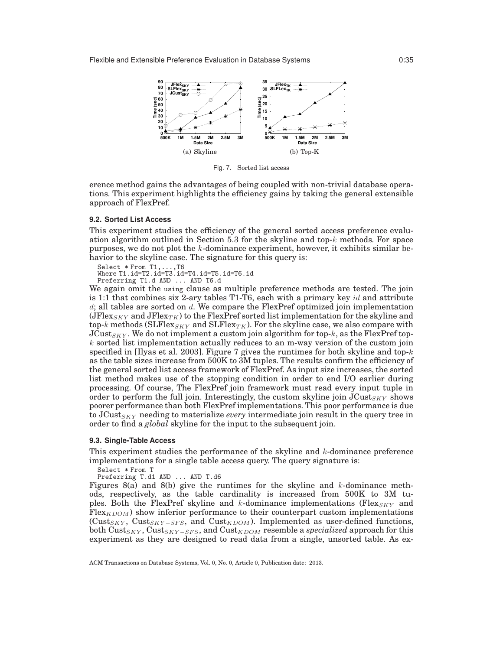

Fig. 7. Sorted list access

erence method gains the advantages of being coupled with non-trivial database operations. This experiment highlights the efficiency gains by taking the general extensible approach of FlexPref.

#### **9.2. Sorted List Access**

This experiment studies the efficiency of the general sorted access preference evaluation algorithm outlined in Section 5.3 for the skyline and top-k methods. For space purposes, we do not plot the  $k$ -dominance experiment, however, it exhibits similar behavior to the skyline case. The signature for this query is:

Select \* From T1,...,T6

Where T1.id=T2.id=T3.id=T4.id=T5.id=T6.id

Preferring T1.d AND ... AND T6.d

We again omit the using clause as multiple preference methods are tested. The join is 1:1 that combines six 2-ary tables T1-T6, each with a primary key  $id$  and attribute  $d$ ; all tables are sorted on  $d$ . We compare the FlexPref optimized join implementation (JFlex<sub>SKY</sub> and JFlex<sub>TK</sub>) to the FlexPref sorted list implementation for the skyline and top-k methods (SLFlex<sub>SKY</sub> and SLFlex<sub>TK</sub>). For the skyline case, we also compare with  $JCust_{SKY}$ . We do not implement a custom join algorithm for top- $k$ , as the FlexPref top $k$  sorted list implementation actually reduces to an m-way version of the custom join specified in [Ilyas et al. 2003]. Figure 7 gives the runtimes for both skyline and top- $k$ as the table sizes increase from 500K to 3M tuples. The results confirm the efficiency of the general sorted list access framework of FlexPref. As input size increases, the sorted list method makes use of the stopping condition in order to end I/O earlier during processing. Of course, The FlexPref join framework must read every input tuple in order to perform the full join. Interestingly, the custom skyline join  $JCust_{SKY}$  shows poorer performance than both FlexPref implementations. This poor performance is due to JCust<sub>SKY</sub> needing to materialize *every* intermediate join result in the query tree in order to find a *global* skyline for the input to the subsequent join.

### **9.3. Single-Table Access**

This experiment studies the performance of the skyline and  $k$ -dominance preference implementations for a single table access query. The query signature is:

Select \* From T

Preferring T.d1 AND ... AND T.d6

Figures 8(a) and 8(b) give the runtimes for the skyline and  $k$ -dominance methods, respectively, as the table cardinality is increased from 500K to 3M tuples. Both the FlexPref skyline and k-dominance implementations (Flex $_{SKY}$  and  $Flex_{KDOM}$ ) show inferior performance to their counterpart custom implementations  $(Cust_{SKY}, Cust_{SKY-SFS},$  and  $Cust_{KDOM}$ ). Implemented as user-defined functions, both Cust<sub>SKY</sub>, Cust<sub>SKY –SFS</sub>, and Cust<sub>KDOM</sub> resemble a *specialized* approach for this experiment as they are designed to read data from a single, unsorted table. As ex-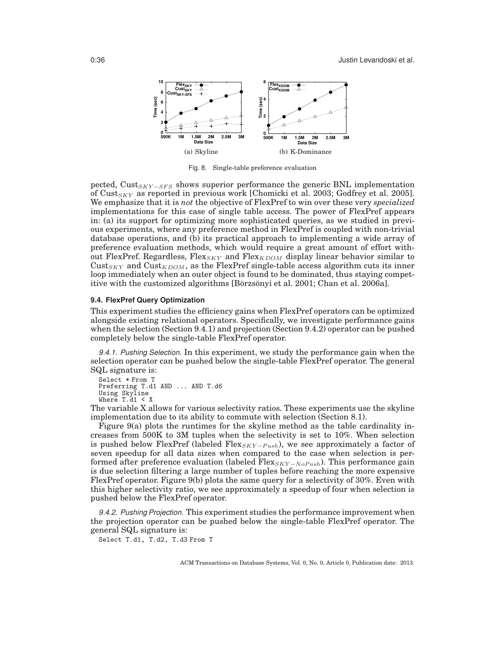

Fig. 8. Single-table preference evaluation

pected,  $\text{Cust}_{SKY-SFS}$  shows superior performance the generic BNL implementation of Cust<sub>SKY</sub> as reported in previous work [Chomicki et al. 2003; Godfrey et al. 2005]. We emphasize that it is *not* the objective of FlexPref to win over these very *specialized* implementations for this case of single table access. The power of FlexPref appears in: (a) its support for optimizing more sophisticated queries, as we studied in previous experiments, where any preference method in FlexPref is coupled with non-trivial database operations, and (b) its practical approach to implementing a wide array of preference evaluation methods, which would require a great amount of effort without FlexPref. Regardless, Flex<sub>SKY</sub> and Flex<sub>KDOM</sub> display linear behavior similar to  $\text{Cust}_{SKY}$  and  $\text{Cust}_{KDOM}$ , as the FlexPref single-table access algorithm cuts its inner loop immediately when an outer object is found to be dominated, thus staying competitive with the customized algorithms  $[B\ddot{\text{o}}rzs\ddot{\text{o}}ryst]$  et al. 2001; Chan et al. 2006a].

#### **9.4. FlexPref Query Optimization**

This experiment studies the efficiency gains when FlexPref operators can be optimized alongside existing relational operators. Specifically, we investigate performance gains when the selection (Section 9.4.1) and projection (Section 9.4.2) operator can be pushed completely below the single-table FlexPref operator.

9.4.1. Pushing Selection. In this experiment, we study the performance gain when the selection operator can be pushed below the single-table FlexPref operator. The general SQL signature is:

Select \* From T Preferring T.d1 AND ... AND T.d6 Using Skyline Where T.d1 < X

The variable X allows for various selectivity ratios. These experiments use the skyline implementation due to its ability to commute with selection (Section 8.1).

Figure 9(a) plots the runtimes for the skyline method as the table cardinality increases from 500K to 3M tuples when the selectivity is set to 10%. When selection is pushed below FlexPref (labeled  $Flex_{SKY-Push}$ ), we see approximately a factor of seven speedup for all data sizes when compared to the case when selection is performed after preference evaluation (labeled  $Flex_{SKY-N\circ Push}$ ). This performance gain is due selection filtering a large number of tuples before reaching the more expensive FlexPref operator. Figure 9(b) plots the same query for a selectivity of 30%. Even with this higher selectivity ratio, we see approximately a speedup of four when selection is pushed below the FlexPref operator.

9.4.2. Pushing Projection. This experiment studies the performance improvement when the projection operator can be pushed below the single-table FlexPref operator. The general SQL signature is:

Select T.d1, T.d2, T.d3 From T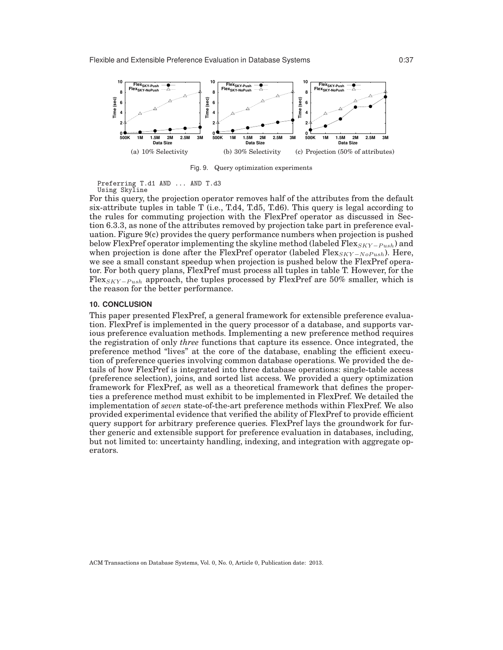

Fig. 9. Query optimization experiments

Preferring T.d1 AND ... AND T.d3 Using Skyline

For this query, the projection operator removes half of the attributes from the default six-attribute tuples in table T (i.e., T.d4, T.d5, T.d6). This query is legal according to the rules for commuting projection with the FlexPref operator as discussed in Section 6.3.3, as none of the attributes removed by projection take part in preference evaluation. Figure 9(c) provides the query performance numbers when projection is pushed below FlexPref operator implementing the skyline method (labeled Flex $_{SKY-Push}$ ) and when projection is done after the FlexPref operator (labeled Flex $_{SKY-NoPush}$ ). Here, we see a small constant speedup when projection is pushed below the FlexPref operator. For both query plans, FlexPref must process all tuples in table T. However, for the  $Flex_{SKY-Push}$  approach, the tuples processed by FlexPref are 50% smaller, which is the reason for the better performance.

#### **10. CONCLUSION**

This paper presented FlexPref, a general framework for extensible preference evaluation. FlexPref is implemented in the query processor of a database, and supports various preference evaluation methods. Implementing a new preference method requires the registration of only *three* functions that capture its essence. Once integrated, the preference method "lives" at the core of the database, enabling the efficient execution of preference queries involving common database operations. We provided the details of how FlexPref is integrated into three database operations: single-table access (preference selection), joins, and sorted list access. We provided a query optimization framework for FlexPref, as well as a theoretical framework that defines the properties a preference method must exhibit to be implemented in FlexPref. We detailed the implementation of *seven* state-of-the-art preference methods within FlexPref. We also provided experimental evidence that verified the ability of FlexPref to provide efficient query support for arbitrary preference queries. FlexPref lays the groundwork for further generic and extensible support for preference evaluation in databases, including, but not limited to: uncertainty handling, indexing, and integration with aggregate operators.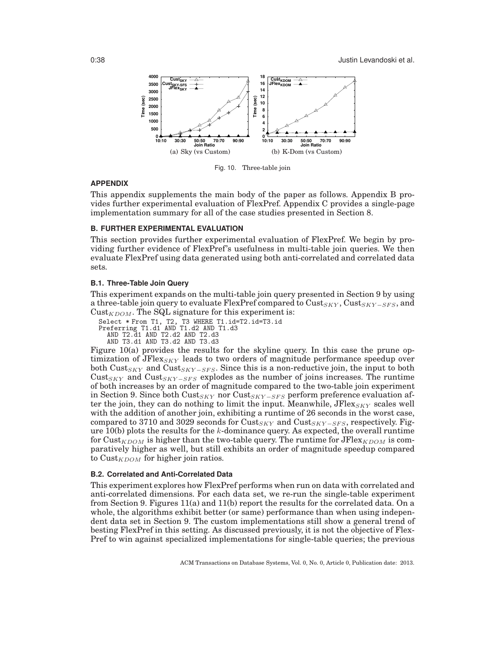0:38 Justin Levandoski et al.



Fig. 10. Three-table join

#### **APPENDIX**

This appendix supplements the main body of the paper as follows. Appendix B provides further experimental evaluation of FlexPref. Appendix C provides a single-page implementation summary for all of the case studies presented in Section 8.

#### **B. FURTHER EXPERIMENTAL EVALUATION**

This section provides further experimental evaluation of FlexPref. We begin by providing further evidence of FlexPref's usefulness in multi-table join queries. We then evaluate FlexPref using data generated using both anti-correlated and correlated data sets.

#### **B.1. Three-Table Join Query**

This experiment expands on the multi-table join query presented in Section 9 by using a three-table join query to evaluate FlexPref compared to  $Cust_{SKY}$ ,  $Cust_{SKY-SFS}$ , and  $\text{Cust}_{KDOM}$ . The SQL signature for this experiment is:

Select \* From T1, T2, T3 WHERE T1.id=T2.id=T3.id

Preferring T1.d1 AND T1.d2 AND T1.d3

AND T2.d1 AND T2.d2 AND T2.d3 AND T3.d1 AND T3.d2 AND T3.d3

Figure 10(a) provides the results for the skyline query. In this case the prune optimization of J $\text{Flex}_{SKY}$  leads to two orders of magnitude performance speedup over both Cust<sub>SKY</sub> and Cust<sub>SKY</sub> – <sub>SFS</sub>. Since this is a non-reductive join, the input to both  $\text{Cust}_{SKY}$  and  $\text{Cust}_{SKY-SFS}$  explodes as the number of joins increases. The runtime of both increases by an order of magnitude compared to the two-table join experiment in Section 9. Since both Cust<sub>SKY</sub> nor Cust<sub>SKY</sub> – s<sub>FS</sub> perform preference evaluation after the join, they can do nothing to limit the input. Meanwhile,  $JFlex_{SKY}$  scales well with the addition of another join, exhibiting a runtime of 26 seconds in the worst case, compared to 3710 and 3029 seconds for Cust<sub>SKY</sub> and Cust<sub>SKY</sub> – <sub>SFS</sub>, respectively. Figure 10(b) plots the results for the  $k$ -dominance query. As expected, the overall runtime for Cust<sub>KDOM</sub> is higher than the two-table query. The runtime for  $JFlex_{KDOM}$  is comparatively higher as well, but still exhibits an order of magnitude speedup compared to Cust<sub>KDOM</sub> for higher join ratios.

#### **B.2. Correlated and Anti-Correlated Data**

This experiment explores how FlexPref performs when run on data with correlated and anti-correlated dimensions. For each data set, we re-run the single-table experiment from Section 9. Figures 11(a) and 11(b) report the results for the correlated data. On a whole, the algorithms exhibit better (or same) performance than when using independent data set in Section 9. The custom implementations still show a general trend of besting FlexPref in this setting. As discussed previously, it is not the objective of Flex-Pref to win against specialized implementations for single-table queries; the previous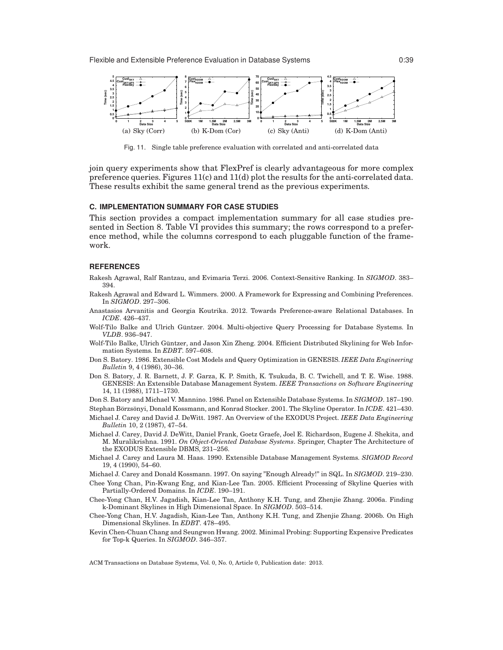

Fig. 11. Single table preference evaluation with correlated and anti-correlated data

join query experiments show that FlexPref is clearly advantageous for more complex preference queries. Figures 11(c) and 11(d) plot the results for the anti-correlated data. These results exhibit the same general trend as the previous experiments.

#### **C. IMPLEMENTATION SUMMARY FOR CASE STUDIES**

This section provides a compact implementation summary for all case studies presented in Section 8. Table VI provides this summary; the rows correspond to a preference method, while the columns correspond to each pluggable function of the framework.

#### **REFERENCES**

- Rakesh Agrawal, Ralf Rantzau, and Evimaria Terzi. 2006. Context-Sensitive Ranking. In *SIGMOD*. 383– 394.
- Rakesh Agrawal and Edward L. Wimmers. 2000. A Framework for Expressing and Combining Preferences. In *SIGMOD*. 297–306.
- Anastasios Arvanitis and Georgia Koutrika. 2012. Towards Preference-aware Relational Databases. In *ICDE*. 426–437.
- Wolf-Tilo Balke and Ulrich Güntzer. 2004. Multi-objective Query Processing for Database Systems. In *VLDB*. 936–947.
- Wolf-Tilo Balke, Ulrich Güntzer, and Jason Xin Zheng. 2004. Efficient Distributed Skylining for Web Information Systems. In *EDBT*. 597–608.
- Don S. Batory. 1986. Extensible Cost Models and Query Optimization in GENESIS. *IEEE Data Engineering Bulletin* 9, 4 (1986), 30–36.
- Don S. Batory, J. R. Barnett, J. F. Garza, K. P. Smith, K. Tsukuda, B. C. Twichell, and T. E. Wise. 1988. GENESIS: An Extensible Database Management System. *IEEE Transactions on Software Engineering* 14, 11 (1988), 1711–1730.
- Don S. Batory and Michael V. Mannino. 1986. Panel on Extensible Database Systems. In *SIGMOD*. 187–190.

Stephan Börzsönyi, Donald Kossmann, and Konrad Stocker. 2001. The Skyline Operator. In *ICDE*. 421–430.

- Michael J. Carey and David J. DeWitt. 1987. An Overview of the EXODUS Project. *IEEE Data Engineering Bulletin* 10, 2 (1987), 47–54.
- Michael J. Carey, David J. DeWitt, Daniel Frank, Goetz Graefe, Joel E. Richardson, Eugene J. Shekita, and M. Muralikrishna. 1991. *On Object-Oriented Database Systems*. Springer, Chapter The Architecture of the EXODUS Extensible DBMS, 231–256.
- Michael J. Carey and Laura M. Haas. 1990. Extensible Database Management Systems. *SIGMOD Record* 19, 4 (1990), 54–60.
- Michael J. Carey and Donald Kossmann. 1997. On saying "Enough Already!" in SQL. In *SIGMOD*. 219–230.
- Chee Yong Chan, Pin-Kwang Eng, and Kian-Lee Tan. 2005. Efficient Processing of Skyline Queries with Partially-Ordered Domains. In *ICDE*. 190–191.
- Chee-Yong Chan, H.V. Jagadish, Kian-Lee Tan, Anthony K.H. Tung, and Zhenjie Zhang. 2006a. Finding k-Dominant Skylines in High Dimensional Space. In *SIGMOD*. 503–514.
- Chee-Yong Chan, H.V. Jagadish, Kian-Lee Tan, Anthony K.H. Tung, and Zhenjie Zhang. 2006b. On High Dimensional Skylines. In *EDBT*. 478–495.
- Kevin Chen-Chuan Chang and Seungwon Hwang. 2002. Minimal Probing: Supporting Expensive Predicates for Top-k Queries. In *SIGMOD*. 346–357.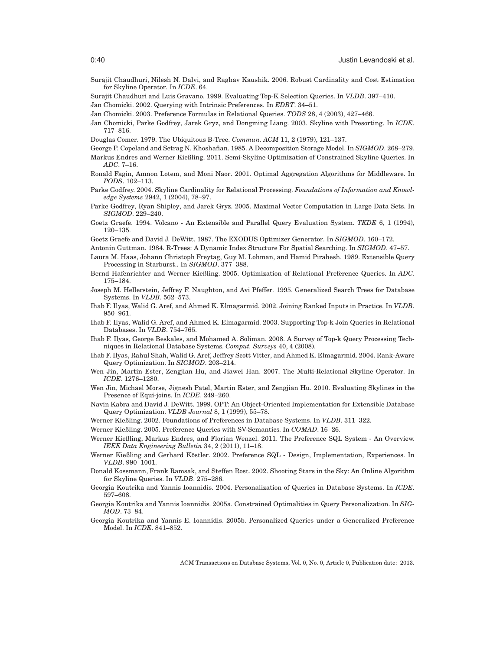- Surajit Chaudhuri, Nilesh N. Dalvi, and Raghav Kaushik. 2006. Robust Cardinality and Cost Estimation for Skyline Operator. In *ICDE*. 64.
- Surajit Chaudhuri and Luis Gravano. 1999. Evaluating Top-K Selection Queries. In *VLDB*. 397–410.

- Jan Chomicki. 2003. Preference Formulas in Relational Queries. *TODS* 28, 4 (2003), 427–466.
- Jan Chomicki, Parke Godfrey, Jarek Gryz, and Dongming Liang. 2003. Skyline with Presorting. In *ICDE*. 717–816.
- Douglas Comer. 1979. The Ubiquitous B-Tree. *Commun. ACM* 11, 2 (1979), 121–137.
- George P. Copeland and Setrag N. Khoshafian. 1985. A Decomposition Storage Model. In *SIGMOD*. 268–279. Markus Endres and Werner Kießling. 2011. Semi-Skyline Optimization of Constrained Skyline Queries. In *ADC*. 7–16.
- Ronald Fagin, Amnon Lotem, and Moni Naor. 2001. Optimal Aggregation Algorithms for Middleware. In *PODS*. 102–113.
- Parke Godfrey. 2004. Skyline Cardinality for Relational Processing. *Foundations of Information and Knowledge Systems* 2942, 1 (2004), 78–97.
- Parke Godfrey, Ryan Shipley, and Jarek Gryz. 2005. Maximal Vector Computation in Large Data Sets. In *SIGMOD*. 229–240.
- Goetz Graefe. 1994. Volcano An Extensible and Parallel Query Evaluation System. *TKDE* 6, 1 (1994), 120–135.
- Goetz Graefe and David J. DeWitt. 1987. The EXODUS Optimizer Generator. In *SIGMOD*. 160–172.
- Antonin Guttman. 1984. R-Trees: A Dynamic Index Structure For Spatial Searching. In *SIGMOD*. 47–57.
- Laura M. Haas, Johann Christoph Freytag, Guy M. Lohman, and Hamid Pirahesh. 1989. Extensible Query Processing in Starburst.. In *SIGMOD*. 377–388.
- Bernd Hafenrichter and Werner Kießling. 2005. Optimization of Relational Preference Queries. In *ADC*. 175–184.
- Joseph M. Hellerstein, Jeffrey F. Naughton, and Avi Pfeffer. 1995. Generalized Search Trees for Database Systems. In *VLDB*. 562–573.
- Ihab F. Ilyas, Walid G. Aref, and Ahmed K. Elmagarmid. 2002. Joining Ranked Inputs in Practice. In *VLDB*. 950–961.
- Ihab F. Ilyas, Walid G. Aref, and Ahmed K. Elmagarmid. 2003. Supporting Top-k Join Queries in Relational Databases. In *VLDB*. 754–765.
- Ihab F. Ilyas, George Beskales, and Mohamed A. Soliman. 2008. A Survey of Top-k Query Processing Techniques in Relational Database Systems. *Comput. Surveys* 40, 4 (2008).
- Ihab F. Ilyas, Rahul Shah, Walid G. Aref, Jeffrey Scott Vitter, and Ahmed K. Elmagarmid. 2004. Rank-Aware Query Optimization. In *SIGMOD*. 203–214.
- Wen Jin, Martin Ester, Zengjian Hu, and Jiawei Han. 2007. The Multi-Relational Skyline Operator. In *ICDE*. 1276–1280.
- Wen Jin, Michael Morse, Jignesh Patel, Martin Ester, and Zengjian Hu. 2010. Evaluating Skylines in the Presence of Equi-joins. In *ICDE*. 249–260.
- Navin Kabra and David J. DeWitt. 1999. OPT: An Object-Oriented Implementation for Extensible Database Query Optimization. *VLDB Journal* 8, 1 (1999), 55–78.
- Werner Kießling. 2002. Foundations of Preferences in Database Systems. In *VLDB*. 311–322.
- Werner Kießling. 2005. Preference Queries with SV-Semantics. In *COMAD*. 16–26.
- Werner Kießling, Markus Endres, and Florian Wenzel. 2011. The Preference SQL System An Overview. *IEEE Data Engineering Bulletin* 34, 2 (2011), 11–18.
- Werner Kießling and Gerhard Köstler. 2002. Preference SQL Design, Implementation, Experiences. In *VLDB*. 990–1001.
- Donald Kossmann, Frank Ramsak, and Steffen Rost. 2002. Shooting Stars in the Sky: An Online Algorithm for Skyline Queries. In *VLDB*. 275–286.
- Georgia Koutrika and Yannis Ioannidis. 2004. Personalization of Queries in Database Systems. In *ICDE*. 597–608.
- Georgia Koutrika and Yannis Ioannidis. 2005a. Constrained Optimalities in Query Personalization. In *SIG-MOD*. 73–84.
- Georgia Koutrika and Yannis E. Ioannidis. 2005b. Personalized Queries under a Generalized Preference Model. In *ICDE*. 841–852.

Jan Chomicki. 2002. Querying with Intrinsic Preferences. In *EDBT*. 34–51.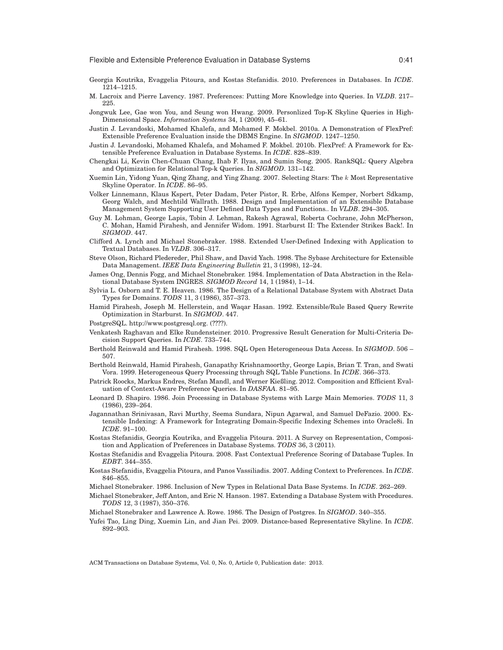- Georgia Koutrika, Evaggelia Pitoura, and Kostas Stefanidis. 2010. Preferences in Databases. In *ICDE*. 1214–1215.
- M. Lacroix and Pierre Lavency. 1987. Preferences: Putting More Knowledge into Queries. In *VLDB*. 217– 225.
- Jongwuk Lee, Gae won You, and Seung won Hwang. 2009. Personlized Top-K Skyline Queries in High-Dimensional Space. *Information Systems* 34, 1 (2009), 45–61.
- Justin J. Levandoski, Mohamed Khalefa, and Mohamed F. Mokbel. 2010a. A Demonstration of FlexPref: Extensible Preference Evaluation inside the DBMS Engine. In *SIGMOD*. 1247–1250.
- Justin J. Levandoski, Mohamed Khalefa, and Mohamed F. Mokbel. 2010b. FlexPref: A Framework for Extensible Preference Evaluation in Database Systems. In *ICDE*. 828–839.
- Chengkai Li, Kevin Chen-Chuan Chang, Ihab F. Ilyas, and Sumin Song. 2005. RankSQL: Query Algebra and Optimization for Relational Top-k Queries. In *SIGMOD*. 131–142.
- Xuemin Lin, Yidong Yuan, Qing Zhang, and Ying Zhang. 2007. Selecting Stars: The k Most Representative Skyline Operator. In *ICDE*. 86–95.
- Volker Linnemann, Klaus Kspert, Peter Dadam, Peter Pistor, R. Erbe, Alfons Kemper, Norbert Sdkamp, Georg Walch, and Mechtild Wallrath. 1988. Design and Implementation of an Extensible Database Management System Supporting User Defined Data Types and Functions.. In *VLDB*. 294–305.
- Guy M. Lohman, George Lapis, Tobin J. Lehman, Rakesh Agrawal, Roberta Cochrane, John McPherson, C. Mohan, Hamid Pirahesh, and Jennifer Widom. 1991. Starburst II: The Extender Strikes Back!. In *SIGMOD*. 447.
- Clifford A. Lynch and Michael Stonebraker. 1988. Extended User-Defined Indexing with Application to Textual Databases. In *VLDB*. 306–317.
- Steve Olson, Richard Pledereder, Phil Shaw, and David Yach. 1998. The Sybase Architecture for Extensible Data Management. *IEEE Data Engineering Bulletin* 21, 3 (1998), 12–24.
- James Ong, Dennis Fogg, and Michael Stonebraker. 1984. Implementation of Data Abstraction in the Relational Database System INGRES. *SIGMOD Record* 14, 1 (1984), 1–14.
- Sylvia L. Osborn and T. E. Heaven. 1986. The Design of a Relational Database System with Abstract Data Types for Domains. *TODS* 11, 3 (1986), 357–373.
- Hamid Pirahesh, Joseph M. Hellerstein, and Waqar Hasan. 1992. Extensible/Rule Based Query Rewrite Optimization in Starburst. In *SIGMOD*. 447.
- PostgreSQL. http://www.postgresql.org. (????).
- Venkatesh Raghavan and Elke Rundensteiner. 2010. Progressive Result Generation for Multi-Criteria Decision Support Queries. In *ICDE*. 733–744.
- Berthold Reinwald and Hamid Pirahesh. 1998. SQL Open Heterogeneous Data Access. In *SIGMOD*. 506 507.
- Berthold Reinwald, Hamid Pirahesh, Ganapathy Krishnamoorthy, George Lapis, Brian T. Tran, and Swati Vora. 1999. Heterogeneous Query Processing through SQL Table Functions. In *ICDE*. 366–373.
- Patrick Roocks, Markus Endres, Stefan Mandl, and Werner Kießling. 2012. Composition and Efficient Evaluation of Context-Aware Preference Queries. In *DASFAA*. 81–95.
- Leonard D. Shapiro. 1986. Join Processing in Database Systems with Large Main Memories. *TODS* 11, 3 (1986), 239–264.
- Jagannathan Srinivasan, Ravi Murthy, Seema Sundara, Nipun Agarwal, and Samuel DeFazio. 2000. Extensible Indexing: A Framework for Integrating Domain-Specific Indexing Schemes into Oracle8i. In *ICDE*. 91–100.
- Kostas Stefanidis, Georgia Koutrika, and Evaggelia Pitoura. 2011. A Survey on Representation, Composition and Application of Preferences in Database Systems. *TODS* 36, 3 (2011).
- Kostas Stefanidis and Evaggelia Pitoura. 2008. Fast Contextual Preference Scoring of Database Tuples. In *EDBT*. 344–355.
- Kostas Stefanidis, Evaggelia Pitoura, and Panos Vassiliadis. 2007. Adding Context to Preferences. In *ICDE*. 846–855.
- Michael Stonebraker. 1986. Inclusion of New Types in Relational Data Base Systems. In *ICDE*. 262–269.
- Michael Stonebraker, Jeff Anton, and Eric N. Hanson. 1987. Extending a Database System with Procedures. *TODS* 12, 3 (1987), 350–376.
- Michael Stonebraker and Lawrence A. Rowe. 1986. The Design of Postgres. In *SIGMOD*. 340–355.
- Yufei Tao, Ling Ding, Xuemin Lin, and Jian Pei. 2009. Distance-based Representative Skyline. In *ICDE*. 892–903.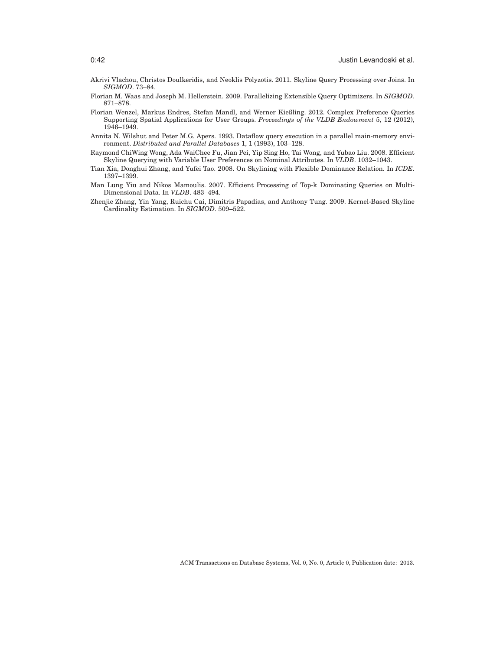- Akrivi Vlachou, Christos Doulkeridis, and Neoklis Polyzotis. 2011. Skyline Query Processing over Joins. In *SIGMOD*. 73–84.
- Florian M. Waas and Joseph M. Hellerstein. 2009. Parallelizing Extensible Query Optimizers. In *SIGMOD*. 871–878.
- Florian Wenzel, Markus Endres, Stefan Mandl, and Werner Kießling. 2012. Complex Preference Queries Supporting Spatial Applications for User Groups. *Proceedings of the VLDB Endowment* 5, 12 (2012), 1946–1949.
- Annita N. Wilshut and Peter M.G. Apers. 1993. Dataflow query execution in a parallel main-memory environment. *Distributed and Parallel Databases* 1, 1 (1993), 103–128.
- Raymond ChiWing Wong, Ada WaiChee Fu, Jian Pei, Yip Sing Ho, Tai Wong, and Yubao Liu. 2008. Efficient Skyline Querying with Variable User Preferences on Nominal Attributes. In *VLDB*. 1032–1043.
- Tian Xia, Donghui Zhang, and Yufei Tao. 2008. On Skylining with Flexible Dominance Relation. In *ICDE*. 1397–1399.
- Man Lung Yiu and Nikos Mamoulis. 2007. Efficient Processing of Top-k Dominating Queries on Multi-Dimensional Data. In *VLDB*. 483–494.
- Zhenjie Zhang, Yin Yang, Ruichu Cai, Dimitris Papadias, and Anthony Tung. 2009. Kernel-Based Skyline Cardinality Estimation. In *SIGMOD*. 509–522.